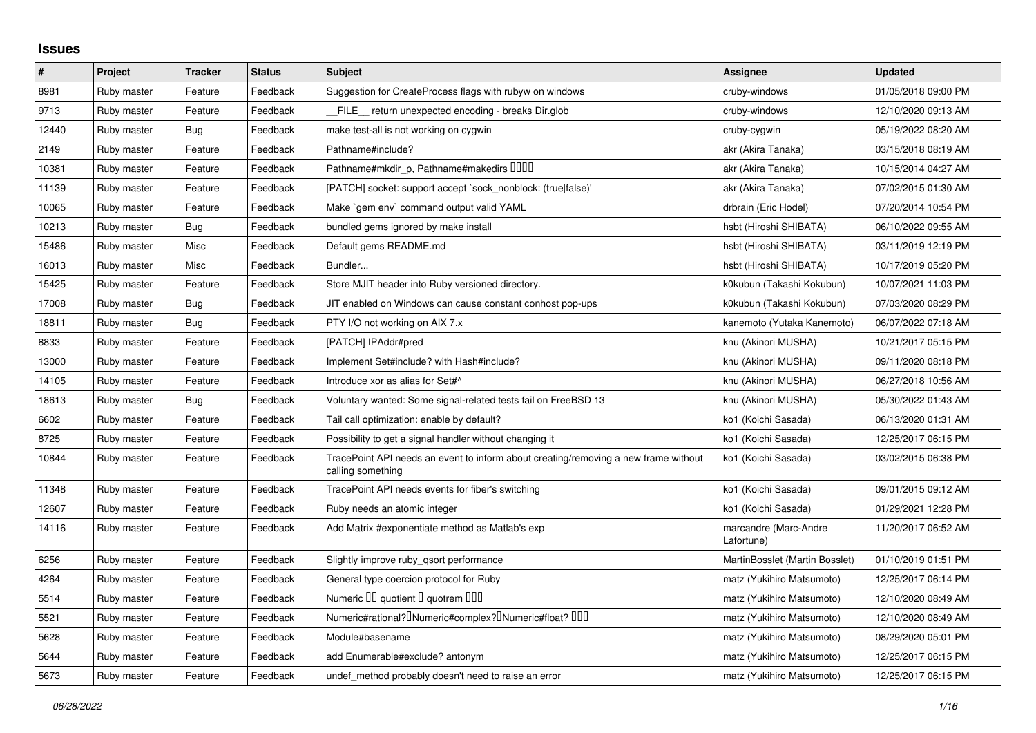## **Issues**

| $\vert$ # | Project     | <b>Tracker</b> | <b>Status</b> | <b>Subject</b>                                                                                           | Assignee                            | <b>Updated</b>      |
|-----------|-------------|----------------|---------------|----------------------------------------------------------------------------------------------------------|-------------------------------------|---------------------|
| 8981      | Ruby master | Feature        | Feedback      | Suggestion for CreateProcess flags with rubyw on windows                                                 | cruby-windows                       | 01/05/2018 09:00 PM |
| 9713      | Ruby master | Feature        | Feedback      | FILE return unexpected encoding - breaks Dir.glob                                                        | cruby-windows                       | 12/10/2020 09:13 AM |
| 12440     | Ruby master | Bug            | Feedback      | make test-all is not working on cygwin                                                                   | cruby-cygwin                        | 05/19/2022 08:20 AM |
| 2149      | Ruby master | Feature        | Feedback      | Pathname#include?                                                                                        | akr (Akira Tanaka)                  | 03/15/2018 08:19 AM |
| 10381     | Ruby master | Feature        | Feedback      | Pathname#mkdir_p, Pathname#makedirs DDDD                                                                 | akr (Akira Tanaka)                  | 10/15/2014 04:27 AM |
| 11139     | Ruby master | Feature        | Feedback      | [PATCH] socket: support accept `sock nonblock: (true false)'                                             | akr (Akira Tanaka)                  | 07/02/2015 01:30 AM |
| 10065     | Ruby master | Feature        | Feedback      | Make `gem env` command output valid YAML                                                                 | drbrain (Eric Hodel)                | 07/20/2014 10:54 PM |
| 10213     | Ruby master | Bug            | Feedback      | bundled gems ignored by make install                                                                     | hsbt (Hiroshi SHIBATA)              | 06/10/2022 09:55 AM |
| 15486     | Ruby master | Misc           | Feedback      | Default gems README.md                                                                                   | hsbt (Hiroshi SHIBATA)              | 03/11/2019 12:19 PM |
| 16013     | Ruby master | Misc           | Feedback      | Bundler                                                                                                  | hsbt (Hiroshi SHIBATA)              | 10/17/2019 05:20 PM |
| 15425     | Ruby master | Feature        | Feedback      | Store MJIT header into Ruby versioned directory.                                                         | k0kubun (Takashi Kokubun)           | 10/07/2021 11:03 PM |
| 17008     | Ruby master | Bug            | Feedback      | JIT enabled on Windows can cause constant conhost pop-ups                                                | k0kubun (Takashi Kokubun)           | 07/03/2020 08:29 PM |
| 18811     | Ruby master | Bug            | Feedback      | PTY I/O not working on AIX 7.x                                                                           | kanemoto (Yutaka Kanemoto)          | 06/07/2022 07:18 AM |
| 8833      | Ruby master | Feature        | Feedback      | [PATCH] IPAddr#pred                                                                                      | knu (Akinori MUSHA)                 | 10/21/2017 05:15 PM |
| 13000     | Ruby master | Feature        | Feedback      | Implement Set#include? with Hash#include?                                                                | knu (Akinori MUSHA)                 | 09/11/2020 08:18 PM |
| 14105     | Ruby master | Feature        | Feedback      | Introduce xor as alias for Set#^                                                                         | knu (Akinori MUSHA)                 | 06/27/2018 10:56 AM |
| 18613     | Ruby master | Bug            | Feedback      | Voluntary wanted: Some signal-related tests fail on FreeBSD 13                                           | knu (Akinori MUSHA)                 | 05/30/2022 01:43 AM |
| 6602      | Ruby master | Feature        | Feedback      | Tail call optimization: enable by default?                                                               | ko1 (Koichi Sasada)                 | 06/13/2020 01:31 AM |
| 8725      | Ruby master | Feature        | Feedback      | Possibility to get a signal handler without changing it                                                  | ko1 (Koichi Sasada)                 | 12/25/2017 06:15 PM |
| 10844     | Ruby master | Feature        | Feedback      | TracePoint API needs an event to inform about creating/removing a new frame without<br>calling something | ko1 (Koichi Sasada)                 | 03/02/2015 06:38 PM |
| 11348     | Ruby master | Feature        | Feedback      | TracePoint API needs events for fiber's switching                                                        | ko1 (Koichi Sasada)                 | 09/01/2015 09:12 AM |
| 12607     | Ruby master | Feature        | Feedback      | Ruby needs an atomic integer                                                                             | ko1 (Koichi Sasada)                 | 01/29/2021 12:28 PM |
| 14116     | Ruby master | Feature        | Feedback      | Add Matrix #exponentiate method as Matlab's exp                                                          | marcandre (Marc-Andre<br>Lafortune) | 11/20/2017 06:52 AM |
| 6256      | Ruby master | Feature        | Feedback      | Slightly improve ruby gsort performance                                                                  | MartinBosslet (Martin Bosslet)      | 01/10/2019 01:51 PM |
| 4264      | Ruby master | Feature        | Feedback      | General type coercion protocol for Ruby                                                                  | matz (Yukihiro Matsumoto)           | 12/25/2017 06:14 PM |
| 5514      | Ruby master | Feature        | Feedback      | Numeric III quotient I quotrem IIII                                                                      | matz (Yukihiro Matsumoto)           | 12/10/2020 08:49 AM |
| 5521      | Ruby master | Feature        | Feedback      | Numeric#rational? <sup>[</sup> ]Numeric#complex? <sup>[</sup> ]Numeric#float? [][][                      | matz (Yukihiro Matsumoto)           | 12/10/2020 08:49 AM |
| 5628      | Ruby master | Feature        | Feedback      | Module#basename                                                                                          | matz (Yukihiro Matsumoto)           | 08/29/2020 05:01 PM |
| 5644      | Ruby master | Feature        | Feedback      | add Enumerable#exclude? antonym                                                                          | matz (Yukihiro Matsumoto)           | 12/25/2017 06:15 PM |
| 5673      | Ruby master | Feature        | Feedback      | undef method probably doesn't need to raise an error                                                     | matz (Yukihiro Matsumoto)           | 12/25/2017 06:15 PM |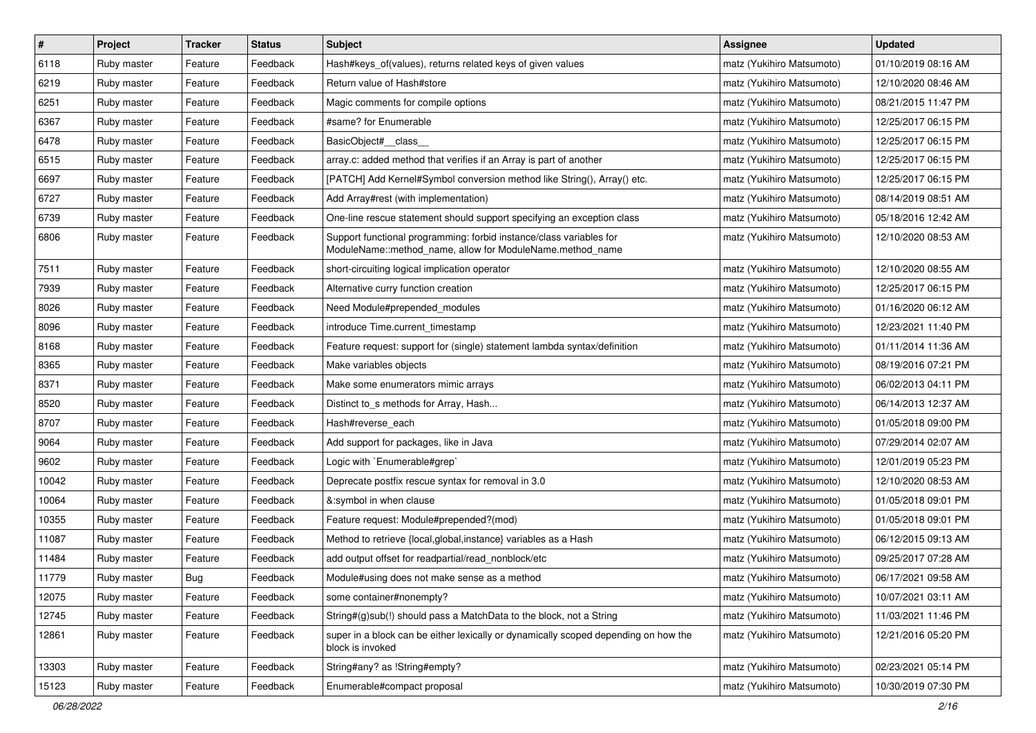| $\vert$ # | Project     | <b>Tracker</b> | <b>Status</b> | Subject                                                                                                                          | <b>Assignee</b>           | <b>Updated</b>      |
|-----------|-------------|----------------|---------------|----------------------------------------------------------------------------------------------------------------------------------|---------------------------|---------------------|
| 6118      | Ruby master | Feature        | Feedback      | Hash#keys of(values), returns related keys of given values                                                                       | matz (Yukihiro Matsumoto) | 01/10/2019 08:16 AM |
| 6219      | Ruby master | Feature        | Feedback      | Return value of Hash#store                                                                                                       | matz (Yukihiro Matsumoto) | 12/10/2020 08:46 AM |
| 6251      | Ruby master | Feature        | Feedback      | Magic comments for compile options                                                                                               | matz (Yukihiro Matsumoto) | 08/21/2015 11:47 PM |
| 6367      | Ruby master | Feature        | Feedback      | #same? for Enumerable                                                                                                            | matz (Yukihiro Matsumoto) | 12/25/2017 06:15 PM |
| 6478      | Ruby master | Feature        | Feedback      | BasicObject#_class_                                                                                                              | matz (Yukihiro Matsumoto) | 12/25/2017 06:15 PM |
| 6515      | Ruby master | Feature        | Feedback      | array.c: added method that verifies if an Array is part of another                                                               | matz (Yukihiro Matsumoto) | 12/25/2017 06:15 PM |
| 6697      | Ruby master | Feature        | Feedback      | [PATCH] Add Kernel#Symbol conversion method like String(), Array() etc.                                                          | matz (Yukihiro Matsumoto) | 12/25/2017 06:15 PM |
| 6727      | Ruby master | Feature        | Feedback      | Add Array#rest (with implementation)                                                                                             | matz (Yukihiro Matsumoto) | 08/14/2019 08:51 AM |
| 6739      | Ruby master | Feature        | Feedback      | One-line rescue statement should support specifying an exception class                                                           | matz (Yukihiro Matsumoto) | 05/18/2016 12:42 AM |
| 6806      | Ruby master | Feature        | Feedback      | Support functional programming: forbid instance/class variables for<br>ModuleName::method_name, allow for ModuleName.method_name | matz (Yukihiro Matsumoto) | 12/10/2020 08:53 AM |
| 7511      | Ruby master | Feature        | Feedback      | short-circuiting logical implication operator                                                                                    | matz (Yukihiro Matsumoto) | 12/10/2020 08:55 AM |
| 7939      | Ruby master | Feature        | Feedback      | Alternative curry function creation                                                                                              | matz (Yukihiro Matsumoto) | 12/25/2017 06:15 PM |
| 8026      | Ruby master | Feature        | Feedback      | Need Module#prepended modules                                                                                                    | matz (Yukihiro Matsumoto) | 01/16/2020 06:12 AM |
| 8096      | Ruby master | Feature        | Feedback      | introduce Time.current timestamp                                                                                                 | matz (Yukihiro Matsumoto) | 12/23/2021 11:40 PM |
| 8168      | Ruby master | Feature        | Feedback      | Feature request: support for (single) statement lambda syntax/definition                                                         | matz (Yukihiro Matsumoto) | 01/11/2014 11:36 AM |
| 8365      | Ruby master | Feature        | Feedback      | Make variables objects                                                                                                           | matz (Yukihiro Matsumoto) | 08/19/2016 07:21 PM |
| 8371      | Ruby master | Feature        | Feedback      | Make some enumerators mimic arrays                                                                                               | matz (Yukihiro Matsumoto) | 06/02/2013 04:11 PM |
| 8520      | Ruby master | Feature        | Feedback      | Distinct to s methods for Array, Hash                                                                                            | matz (Yukihiro Matsumoto) | 06/14/2013 12:37 AM |
| 8707      | Ruby master | Feature        | Feedback      | Hash#reverse each                                                                                                                | matz (Yukihiro Matsumoto) | 01/05/2018 09:00 PM |
| 9064      | Ruby master | Feature        | Feedback      | Add support for packages, like in Java                                                                                           | matz (Yukihiro Matsumoto) | 07/29/2014 02:07 AM |
| 9602      | Ruby master | Feature        | Feedback      | Logic with `Enumerable#grep`                                                                                                     | matz (Yukihiro Matsumoto) | 12/01/2019 05:23 PM |
| 10042     | Ruby master | Feature        | Feedback      | Deprecate postfix rescue syntax for removal in 3.0                                                                               | matz (Yukihiro Matsumoto) | 12/10/2020 08:53 AM |
| 10064     | Ruby master | Feature        | Feedback      | &:symbol in when clause                                                                                                          | matz (Yukihiro Matsumoto) | 01/05/2018 09:01 PM |
| 10355     | Ruby master | Feature        | Feedback      | Feature request: Module#prepended?(mod)                                                                                          | matz (Yukihiro Matsumoto) | 01/05/2018 09:01 PM |
| 11087     | Ruby master | Feature        | Feedback      | Method to retrieve {local,global,instance} variables as a Hash                                                                   | matz (Yukihiro Matsumoto) | 06/12/2015 09:13 AM |
| 11484     | Ruby master | Feature        | Feedback      | add output offset for readpartial/read nonblock/etc                                                                              | matz (Yukihiro Matsumoto) | 09/25/2017 07:28 AM |
| 11779     | Ruby master | <b>Bug</b>     | Feedback      | Module#using does not make sense as a method                                                                                     | matz (Yukihiro Matsumoto) | 06/17/2021 09:58 AM |
| 12075     | Ruby master | Feature        | Feedback      | some container#nonempty?                                                                                                         | matz (Yukihiro Matsumoto) | 10/07/2021 03:11 AM |
| 12745     | Ruby master | Feature        | Feedback      | String#(g)sub(!) should pass a MatchData to the block, not a String                                                              | matz (Yukihiro Matsumoto) | 11/03/2021 11:46 PM |
| 12861     | Ruby master | Feature        | Feedback      | super in a block can be either lexically or dynamically scoped depending on how the<br>block is invoked                          | matz (Yukihiro Matsumoto) | 12/21/2016 05:20 PM |
| 13303     | Ruby master | Feature        | Feedback      | String#any? as !String#empty?                                                                                                    | matz (Yukihiro Matsumoto) | 02/23/2021 05:14 PM |
| 15123     | Ruby master | Feature        | Feedback      | Enumerable#compact proposal                                                                                                      | matz (Yukihiro Matsumoto) | 10/30/2019 07:30 PM |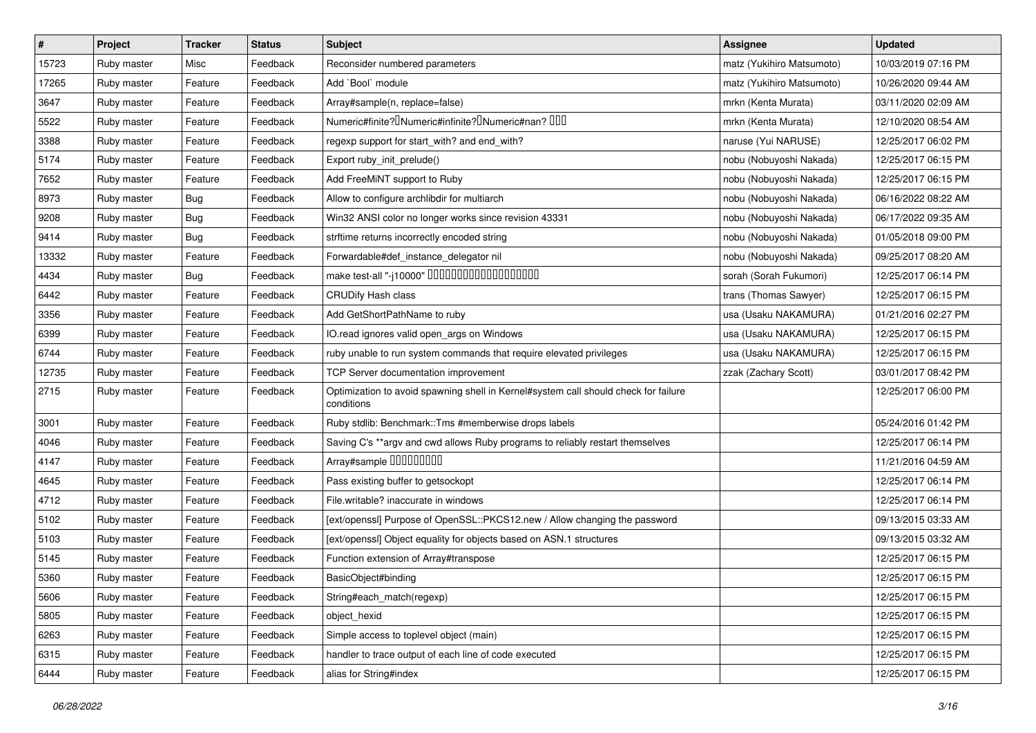| $\vert$ # | Project     | <b>Tracker</b> | <b>Status</b> | <b>Subject</b>                                                                                    | <b>Assignee</b>           | <b>Updated</b>      |
|-----------|-------------|----------------|---------------|---------------------------------------------------------------------------------------------------|---------------------------|---------------------|
| 15723     | Ruby master | Misc           | Feedback      | Reconsider numbered parameters                                                                    | matz (Yukihiro Matsumoto) | 10/03/2019 07:16 PM |
| 17265     | Ruby master | Feature        | Feedback      | Add `Bool` module                                                                                 | matz (Yukihiro Matsumoto) | 10/26/2020 09:44 AM |
| 3647      | Ruby master | Feature        | Feedback      | Array#sample(n, replace=false)                                                                    | mrkn (Kenta Murata)       | 03/11/2020 02:09 AM |
| 5522      | Ruby master | Feature        | Feedback      | Numeric#finite? <sup>[]</sup> Numeric#infinite? <sup>[]</sup> Numeric#nan? <sup>[10]</sup>        | mrkn (Kenta Murata)       | 12/10/2020 08:54 AM |
| 3388      | Ruby master | Feature        | Feedback      | regexp support for start_with? and end_with?                                                      | naruse (Yui NARUSE)       | 12/25/2017 06:02 PM |
| 5174      | Ruby master | Feature        | Feedback      | Export ruby_init_prelude()                                                                        | nobu (Nobuyoshi Nakada)   | 12/25/2017 06:15 PM |
| 7652      | Ruby master | Feature        | Feedback      | Add FreeMiNT support to Ruby                                                                      | nobu (Nobuyoshi Nakada)   | 12/25/2017 06:15 PM |
| 8973      | Ruby master | <b>Bug</b>     | Feedback      | Allow to configure archlibdir for multiarch                                                       | nobu (Nobuyoshi Nakada)   | 06/16/2022 08:22 AM |
| 9208      | Ruby master | <b>Bug</b>     | Feedback      | Win32 ANSI color no longer works since revision 43331                                             | nobu (Nobuyoshi Nakada)   | 06/17/2022 09:35 AM |
| 9414      | Ruby master | Bug            | Feedback      | strftime returns incorrectly encoded string                                                       | nobu (Nobuyoshi Nakada)   | 01/05/2018 09:00 PM |
| 13332     | Ruby master | Feature        | Feedback      | Forwardable#def_instance_delegator nil                                                            | nobu (Nobuyoshi Nakada)   | 09/25/2017 08:20 AM |
| 4434      | Ruby master | Bug            | Feedback      | make test-all "-j10000" DODODODODODODODOD                                                         | sorah (Sorah Fukumori)    | 12/25/2017 06:14 PM |
| 6442      | Ruby master | Feature        | Feedback      | <b>CRUDify Hash class</b>                                                                         | trans (Thomas Sawyer)     | 12/25/2017 06:15 PM |
| 3356      | Ruby master | Feature        | Feedback      | Add GetShortPathName to ruby                                                                      | usa (Usaku NAKAMURA)      | 01/21/2016 02:27 PM |
| 6399      | Ruby master | Feature        | Feedback      | IO.read ignores valid open_args on Windows                                                        | usa (Usaku NAKAMURA)      | 12/25/2017 06:15 PM |
| 6744      | Ruby master | Feature        | Feedback      | ruby unable to run system commands that require elevated privileges                               | usa (Usaku NAKAMURA)      | 12/25/2017 06:15 PM |
| 12735     | Ruby master | Feature        | Feedback      | TCP Server documentation improvement                                                              | zzak (Zachary Scott)      | 03/01/2017 08:42 PM |
| 2715      | Ruby master | Feature        | Feedback      | Optimization to avoid spawning shell in Kernel#system call should check for failure<br>conditions |                           | 12/25/2017 06:00 PM |
| 3001      | Ruby master | Feature        | Feedback      | Ruby stdlib: Benchmark::Tms #memberwise drops labels                                              |                           | 05/24/2016 01:42 PM |
| 4046      | Ruby master | Feature        | Feedback      | Saving C's **argv and cwd allows Ruby programs to reliably restart themselves                     |                           | 12/25/2017 06:14 PM |
| 4147      | Ruby master | Feature        | Feedback      | Array#sample 000000000                                                                            |                           | 11/21/2016 04:59 AM |
| 4645      | Ruby master | Feature        | Feedback      | Pass existing buffer to getsockopt                                                                |                           | 12/25/2017 06:14 PM |
| 4712      | Ruby master | Feature        | Feedback      | File.writable? inaccurate in windows                                                              |                           | 12/25/2017 06:14 PM |
| 5102      | Ruby master | Feature        | Feedback      | [ext/openssl] Purpose of OpenSSL::PKCS12.new / Allow changing the password                        |                           | 09/13/2015 03:33 AM |
| 5103      | Ruby master | Feature        | Feedback      | [ext/openssl] Object equality for objects based on ASN.1 structures                               |                           | 09/13/2015 03:32 AM |
| 5145      | Ruby master | Feature        | Feedback      | Function extension of Array#transpose                                                             |                           | 12/25/2017 06:15 PM |
| 5360      | Ruby master | Feature        | Feedback      | BasicObject#binding                                                                               |                           | 12/25/2017 06:15 PM |
| 5606      | Ruby master | Feature        | Feedback      | String#each_match(regexp)                                                                         |                           | 12/25/2017 06:15 PM |
| 5805      | Ruby master | Feature        | Feedback      | object_hexid                                                                                      |                           | 12/25/2017 06:15 PM |
| 6263      | Ruby master | Feature        | Feedback      | Simple access to toplevel object (main)                                                           |                           | 12/25/2017 06:15 PM |
| 6315      | Ruby master | Feature        | Feedback      | handler to trace output of each line of code executed                                             |                           | 12/25/2017 06:15 PM |
| 6444      | Ruby master | Feature        | Feedback      | alias for String#index                                                                            |                           | 12/25/2017 06:15 PM |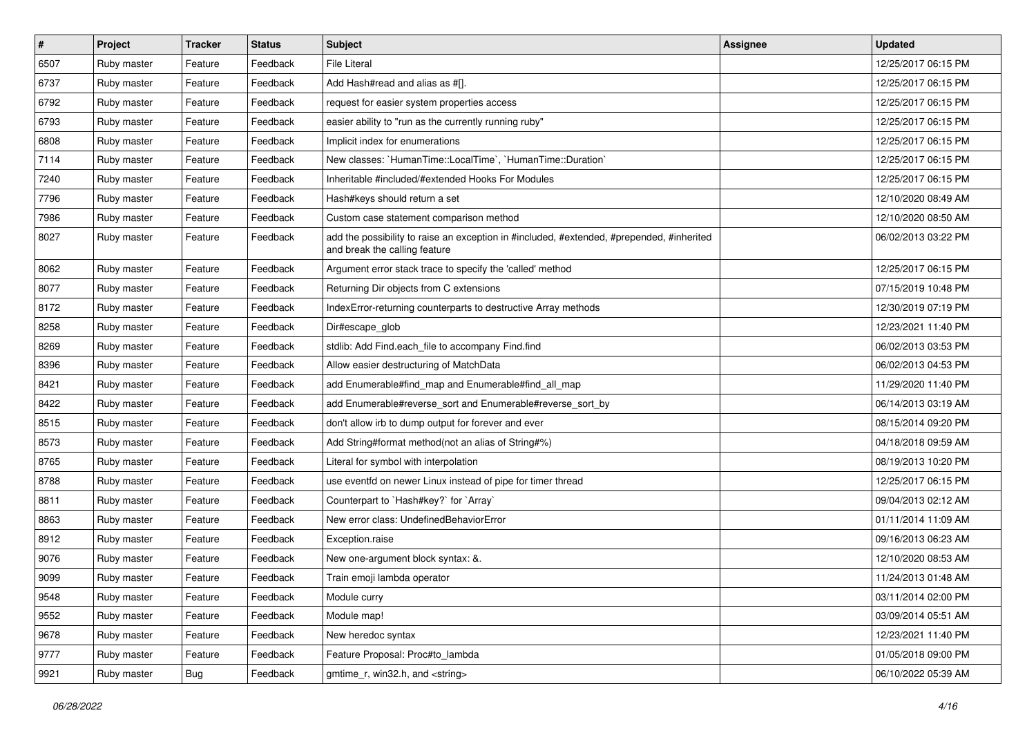| $\#$ | Project     | <b>Tracker</b> | <b>Status</b> | <b>Subject</b>                                                                                                             | <b>Assignee</b> | <b>Updated</b>      |
|------|-------------|----------------|---------------|----------------------------------------------------------------------------------------------------------------------------|-----------------|---------------------|
| 6507 | Ruby master | Feature        | Feedback      | <b>File Literal</b>                                                                                                        |                 | 12/25/2017 06:15 PM |
| 6737 | Ruby master | Feature        | Feedback      | Add Hash#read and alias as #[].                                                                                            |                 | 12/25/2017 06:15 PM |
| 6792 | Ruby master | Feature        | Feedback      | request for easier system properties access                                                                                |                 | 12/25/2017 06:15 PM |
| 6793 | Ruby master | Feature        | Feedback      | easier ability to "run as the currently running ruby"                                                                      |                 | 12/25/2017 06:15 PM |
| 6808 | Ruby master | Feature        | Feedback      | Implicit index for enumerations                                                                                            |                 | 12/25/2017 06:15 PM |
| 7114 | Ruby master | Feature        | Feedback      | New classes: `HumanTime::LocalTime`, `HumanTime::Duration`                                                                 |                 | 12/25/2017 06:15 PM |
| 7240 | Ruby master | Feature        | Feedback      | Inheritable #included/#extended Hooks For Modules                                                                          |                 | 12/25/2017 06:15 PM |
| 7796 | Ruby master | Feature        | Feedback      | Hash#keys should return a set                                                                                              |                 | 12/10/2020 08:49 AM |
| 7986 | Ruby master | Feature        | Feedback      | Custom case statement comparison method                                                                                    |                 | 12/10/2020 08:50 AM |
| 8027 | Ruby master | Feature        | Feedback      | add the possibility to raise an exception in #included, #extended, #prepended, #inherited<br>and break the calling feature |                 | 06/02/2013 03:22 PM |
| 8062 | Ruby master | Feature        | Feedback      | Argument error stack trace to specify the 'called' method                                                                  |                 | 12/25/2017 06:15 PM |
| 8077 | Ruby master | Feature        | Feedback      | Returning Dir objects from C extensions                                                                                    |                 | 07/15/2019 10:48 PM |
| 8172 | Ruby master | Feature        | Feedback      | IndexError-returning counterparts to destructive Array methods                                                             |                 | 12/30/2019 07:19 PM |
| 8258 | Ruby master | Feature        | Feedback      | Dir#escape_glob                                                                                                            |                 | 12/23/2021 11:40 PM |
| 8269 | Ruby master | Feature        | Feedback      | stdlib: Add Find.each_file to accompany Find.find                                                                          |                 | 06/02/2013 03:53 PM |
| 8396 | Ruby master | Feature        | Feedback      | Allow easier destructuring of MatchData                                                                                    |                 | 06/02/2013 04:53 PM |
| 8421 | Ruby master | Feature        | Feedback      | add Enumerable#find_map and Enumerable#find_all_map                                                                        |                 | 11/29/2020 11:40 PM |
| 8422 | Ruby master | Feature        | Feedback      | add Enumerable#reverse_sort and Enumerable#reverse_sort_by                                                                 |                 | 06/14/2013 03:19 AM |
| 8515 | Ruby master | Feature        | Feedback      | don't allow irb to dump output for forever and ever                                                                        |                 | 08/15/2014 09:20 PM |
| 8573 | Ruby master | Feature        | Feedback      | Add String#format method(not an alias of String#%)                                                                         |                 | 04/18/2018 09:59 AM |
| 8765 | Ruby master | Feature        | Feedback      | Literal for symbol with interpolation                                                                                      |                 | 08/19/2013 10:20 PM |
| 8788 | Ruby master | Feature        | Feedback      | use eventfd on newer Linux instead of pipe for timer thread                                                                |                 | 12/25/2017 06:15 PM |
| 8811 | Ruby master | Feature        | Feedback      | Counterpart to `Hash#key?` for `Array`                                                                                     |                 | 09/04/2013 02:12 AM |
| 8863 | Ruby master | Feature        | Feedback      | New error class: UndefinedBehaviorError                                                                                    |                 | 01/11/2014 11:09 AM |
| 8912 | Ruby master | Feature        | Feedback      | Exception.raise                                                                                                            |                 | 09/16/2013 06:23 AM |
| 9076 | Ruby master | Feature        | Feedback      | New one-argument block syntax: &.                                                                                          |                 | 12/10/2020 08:53 AM |
| 9099 | Ruby master | Feature        | Feedback      | Train emoji lambda operator                                                                                                |                 | 11/24/2013 01:48 AM |
| 9548 | Ruby master | Feature        | Feedback      | Module curry                                                                                                               |                 | 03/11/2014 02:00 PM |
| 9552 | Ruby master | Feature        | Feedback      | Module map!                                                                                                                |                 | 03/09/2014 05:51 AM |
| 9678 | Ruby master | Feature        | Feedback      | New heredoc syntax                                                                                                         |                 | 12/23/2021 11:40 PM |
| 9777 | Ruby master | Feature        | Feedback      | Feature Proposal: Proc#to lambda                                                                                           |                 | 01/05/2018 09:00 PM |
| 9921 | Ruby master | Bug            | Feedback      | gmtime_r, win32.h, and <string></string>                                                                                   |                 | 06/10/2022 05:39 AM |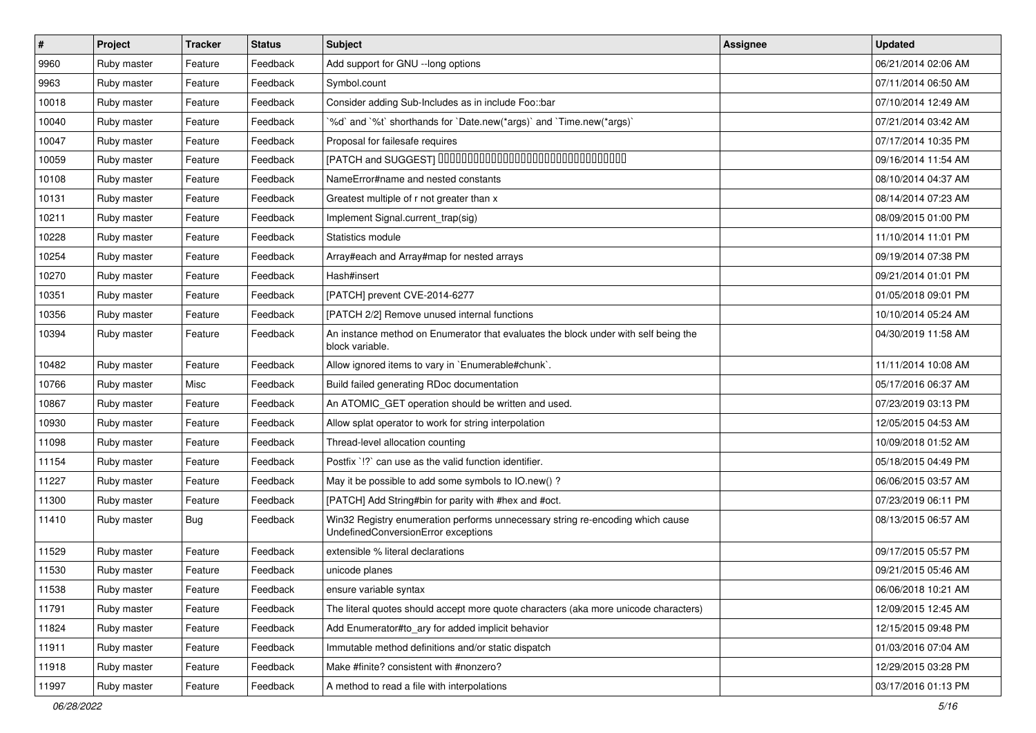| $\vert$ # | Project     | <b>Tracker</b> | <b>Status</b> | Subject                                                                                                               | <b>Assignee</b> | <b>Updated</b>      |
|-----------|-------------|----------------|---------------|-----------------------------------------------------------------------------------------------------------------------|-----------------|---------------------|
| 9960      | Ruby master | Feature        | Feedback      | Add support for GNU --long options                                                                                    |                 | 06/21/2014 02:06 AM |
| 9963      | Ruby master | Feature        | Feedback      | Symbol.count                                                                                                          |                 | 07/11/2014 06:50 AM |
| 10018     | Ruby master | Feature        | Feedback      | Consider adding Sub-Includes as in include Foo::bar                                                                   |                 | 07/10/2014 12:49 AM |
| 10040     | Ruby master | Feature        | Feedback      | '%d' and '%t' shorthands for 'Date.new(*args)' and 'Time.new(*args)'                                                  |                 | 07/21/2014 03:42 AM |
| 10047     | Ruby master | Feature        | Feedback      | Proposal for failesafe requires                                                                                       |                 | 07/17/2014 10:35 PM |
| 10059     | Ruby master | Feature        | Feedback      | [PATCH and SUGGEST] 0000000000000000000000000000000                                                                   |                 | 09/16/2014 11:54 AM |
| 10108     | Ruby master | Feature        | Feedback      | NameError#name and nested constants                                                                                   |                 | 08/10/2014 04:37 AM |
| 10131     | Ruby master | Feature        | Feedback      | Greatest multiple of r not greater than x                                                                             |                 | 08/14/2014 07:23 AM |
| 10211     | Ruby master | Feature        | Feedback      | Implement Signal.current_trap(sig)                                                                                    |                 | 08/09/2015 01:00 PM |
| 10228     | Ruby master | Feature        | Feedback      | Statistics module                                                                                                     |                 | 11/10/2014 11:01 PM |
| 10254     | Ruby master | Feature        | Feedback      | Array#each and Array#map for nested arrays                                                                            |                 | 09/19/2014 07:38 PM |
| 10270     | Ruby master | Feature        | Feedback      | Hash#insert                                                                                                           |                 | 09/21/2014 01:01 PM |
| 10351     | Ruby master | Feature        | Feedback      | [PATCH] prevent CVE-2014-6277                                                                                         |                 | 01/05/2018 09:01 PM |
| 10356     | Ruby master | Feature        | Feedback      | [PATCH 2/2] Remove unused internal functions                                                                          |                 | 10/10/2014 05:24 AM |
| 10394     | Ruby master | Feature        | Feedback      | An instance method on Enumerator that evaluates the block under with self being the<br>block variable.                |                 | 04/30/2019 11:58 AM |
| 10482     | Ruby master | Feature        | Feedback      | Allow ignored items to vary in `Enumerable#chunk`.                                                                    |                 | 11/11/2014 10:08 AM |
| 10766     | Ruby master | Misc           | Feedback      | Build failed generating RDoc documentation                                                                            |                 | 05/17/2016 06:37 AM |
| 10867     | Ruby master | Feature        | Feedback      | An ATOMIC_GET operation should be written and used.                                                                   |                 | 07/23/2019 03:13 PM |
| 10930     | Ruby master | Feature        | Feedback      | Allow splat operator to work for string interpolation                                                                 |                 | 12/05/2015 04:53 AM |
| 11098     | Ruby master | Feature        | Feedback      | Thread-level allocation counting                                                                                      |                 | 10/09/2018 01:52 AM |
| 11154     | Ruby master | Feature        | Feedback      | Postfix '!?' can use as the valid function identifier.                                                                |                 | 05/18/2015 04:49 PM |
| 11227     | Ruby master | Feature        | Feedback      | May it be possible to add some symbols to IO.new() ?                                                                  |                 | 06/06/2015 03:57 AM |
| 11300     | Ruby master | Feature        | Feedback      | [PATCH] Add String#bin for parity with #hex and #oct.                                                                 |                 | 07/23/2019 06:11 PM |
| 11410     | Ruby master | Bug            | Feedback      | Win32 Registry enumeration performs unnecessary string re-encoding which cause<br>UndefinedConversionError exceptions |                 | 08/13/2015 06:57 AM |
| 11529     | Ruby master | Feature        | Feedback      | extensible % literal declarations                                                                                     |                 | 09/17/2015 05:57 PM |
| 11530     | Ruby master | Feature        | Feedback      | unicode planes                                                                                                        |                 | 09/21/2015 05:46 AM |
| 11538     | Ruby master | Feature        | Feedback      | ensure variable syntax                                                                                                |                 | 06/06/2018 10:21 AM |
| 11791     | Ruby master | Feature        | Feedback      | The literal quotes should accept more quote characters (aka more unicode characters)                                  |                 | 12/09/2015 12:45 AM |
| 11824     | Ruby master | Feature        | Feedback      | Add Enumerator#to_ary for added implicit behavior                                                                     |                 | 12/15/2015 09:48 PM |
| 11911     | Ruby master | Feature        | Feedback      | Immutable method definitions and/or static dispatch                                                                   |                 | 01/03/2016 07:04 AM |
| 11918     | Ruby master | Feature        | Feedback      | Make #finite? consistent with #nonzero?                                                                               |                 | 12/29/2015 03:28 PM |
| 11997     | Ruby master | Feature        | Feedback      | A method to read a file with interpolations                                                                           |                 | 03/17/2016 01:13 PM |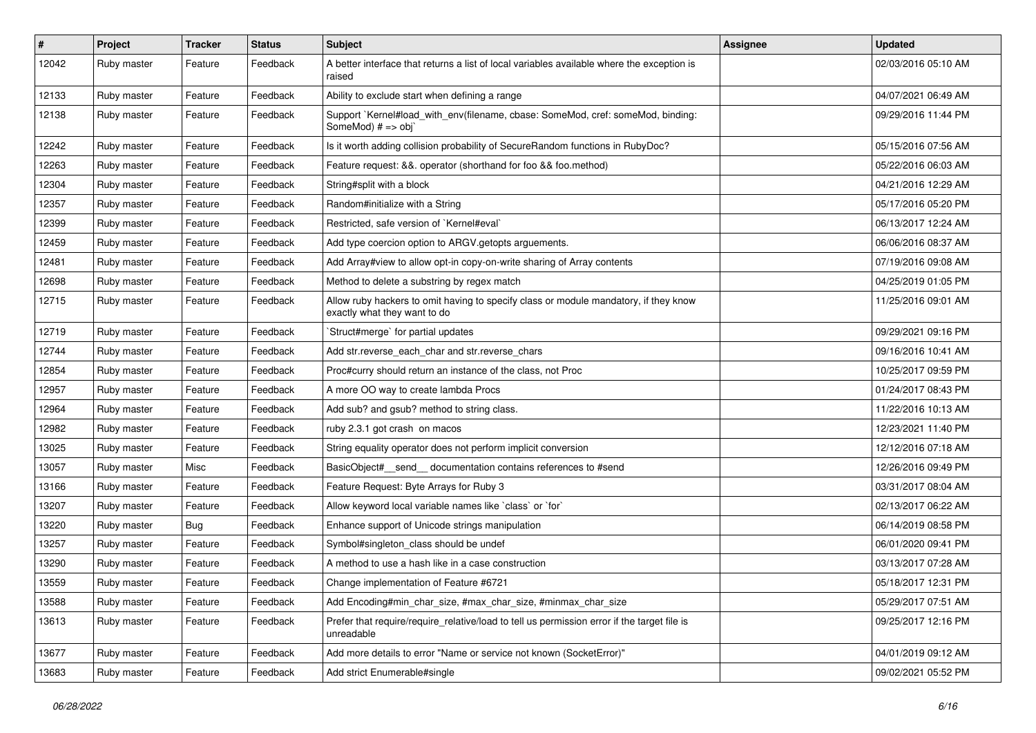| #     | Project     | <b>Tracker</b> | <b>Status</b> | Subject                                                                                                              | Assignee | <b>Updated</b>      |
|-------|-------------|----------------|---------------|----------------------------------------------------------------------------------------------------------------------|----------|---------------------|
| 12042 | Ruby master | Feature        | Feedback      | A better interface that returns a list of local variables available where the exception is<br>raised                 |          | 02/03/2016 05:10 AM |
| 12133 | Ruby master | Feature        | Feedback      | Ability to exclude start when defining a range                                                                       |          | 04/07/2021 06:49 AM |
| 12138 | Ruby master | Feature        | Feedback      | Support `Kernel#load_with_env(filename, cbase: SomeMod, cref: someMod, binding:<br>SomeMod) # => obj`                |          | 09/29/2016 11:44 PM |
| 12242 | Ruby master | Feature        | Feedback      | Is it worth adding collision probability of SecureRandom functions in RubyDoc?                                       |          | 05/15/2016 07:56 AM |
| 12263 | Ruby master | Feature        | Feedback      | Feature request: &&. operator (shorthand for foo && foo.method)                                                      |          | 05/22/2016 06:03 AM |
| 12304 | Ruby master | Feature        | Feedback      | String#split with a block                                                                                            |          | 04/21/2016 12:29 AM |
| 12357 | Ruby master | Feature        | Feedback      | Random#initialize with a String                                                                                      |          | 05/17/2016 05:20 PM |
| 12399 | Ruby master | Feature        | Feedback      | Restricted, safe version of `Kernel#eval`                                                                            |          | 06/13/2017 12:24 AM |
| 12459 | Ruby master | Feature        | Feedback      | Add type coercion option to ARGV getopts arguements.                                                                 |          | 06/06/2016 08:37 AM |
| 12481 | Ruby master | Feature        | Feedback      | Add Array#view to allow opt-in copy-on-write sharing of Array contents                                               |          | 07/19/2016 09:08 AM |
| 12698 | Ruby master | Feature        | Feedback      | Method to delete a substring by regex match                                                                          |          | 04/25/2019 01:05 PM |
| 12715 | Ruby master | Feature        | Feedback      | Allow ruby hackers to omit having to specify class or module mandatory, if they know<br>exactly what they want to do |          | 11/25/2016 09:01 AM |
| 12719 | Ruby master | Feature        | Feedback      | 'Struct#merge' for partial updates                                                                                   |          | 09/29/2021 09:16 PM |
| 12744 | Ruby master | Feature        | Feedback      | Add str.reverse_each_char and str.reverse_chars                                                                      |          | 09/16/2016 10:41 AM |
| 12854 | Ruby master | Feature        | Feedback      | Proc#curry should return an instance of the class, not Proc                                                          |          | 10/25/2017 09:59 PM |
| 12957 | Ruby master | Feature        | Feedback      | A more OO way to create lambda Procs                                                                                 |          | 01/24/2017 08:43 PM |
| 12964 | Ruby master | Feature        | Feedback      | Add sub? and gsub? method to string class.                                                                           |          | 11/22/2016 10:13 AM |
| 12982 | Ruby master | Feature        | Feedback      | ruby 2.3.1 got crash on macos                                                                                        |          | 12/23/2021 11:40 PM |
| 13025 | Ruby master | Feature        | Feedback      | String equality operator does not perform implicit conversion                                                        |          | 12/12/2016 07:18 AM |
| 13057 | Ruby master | Misc           | Feedback      | BasicObject#_send__documentation contains references to #send                                                        |          | 12/26/2016 09:49 PM |
| 13166 | Ruby master | Feature        | Feedback      | Feature Request: Byte Arrays for Ruby 3                                                                              |          | 03/31/2017 08:04 AM |
| 13207 | Ruby master | Feature        | Feedback      | Allow keyword local variable names like `class` or `for`                                                             |          | 02/13/2017 06:22 AM |
| 13220 | Ruby master | <b>Bug</b>     | Feedback      | Enhance support of Unicode strings manipulation                                                                      |          | 06/14/2019 08:58 PM |
| 13257 | Ruby master | Feature        | Feedback      | Symbol#singleton_class should be undef                                                                               |          | 06/01/2020 09:41 PM |
| 13290 | Ruby master | Feature        | Feedback      | A method to use a hash like in a case construction                                                                   |          | 03/13/2017 07:28 AM |
| 13559 | Ruby master | Feature        | Feedback      | Change implementation of Feature #6721                                                                               |          | 05/18/2017 12:31 PM |
| 13588 | Ruby master | Feature        | Feedback      | Add Encoding#min_char_size, #max_char_size, #minmax_char_size                                                        |          | 05/29/2017 07:51 AM |
| 13613 | Ruby master | Feature        | Feedback      | Prefer that require/require_relative/load to tell us permission error if the target file is<br>unreadable            |          | 09/25/2017 12:16 PM |
| 13677 | Ruby master | Feature        | Feedback      | Add more details to error "Name or service not known (SocketError)"                                                  |          | 04/01/2019 09:12 AM |
| 13683 | Ruby master | Feature        | Feedback      | Add strict Enumerable#single                                                                                         |          | 09/02/2021 05:52 PM |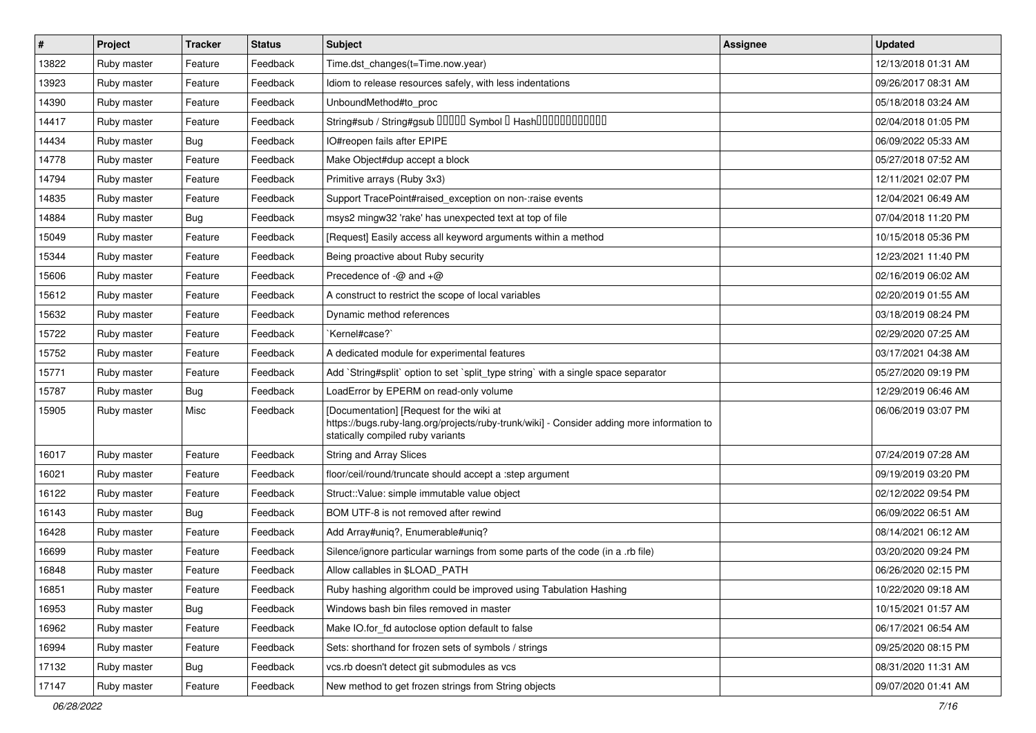| $\sharp$ | Project     | <b>Tracker</b> | <b>Status</b> | <b>Subject</b>                                                                                                                                                              | <b>Assignee</b> | <b>Updated</b>      |
|----------|-------------|----------------|---------------|-----------------------------------------------------------------------------------------------------------------------------------------------------------------------------|-----------------|---------------------|
| 13822    | Ruby master | Feature        | Feedback      | Time.dst_changes(t=Time.now.year)                                                                                                                                           |                 | 12/13/2018 01:31 AM |
| 13923    | Ruby master | Feature        | Feedback      | Idiom to release resources safely, with less indentations                                                                                                                   |                 | 09/26/2017 08:31 AM |
| 14390    | Ruby master | Feature        | Feedback      | UnboundMethod#to_proc                                                                                                                                                       |                 | 05/18/2018 03:24 AM |
| 14417    | Ruby master | Feature        | Feedback      | String#sub / String#gsub 00000 Symbol 0 Hash000000000000                                                                                                                    |                 | 02/04/2018 01:05 PM |
| 14434    | Ruby master | Bug            | Feedback      | IO#reopen fails after EPIPE                                                                                                                                                 |                 | 06/09/2022 05:33 AM |
| 14778    | Ruby master | Feature        | Feedback      | Make Object#dup accept a block                                                                                                                                              |                 | 05/27/2018 07:52 AM |
| 14794    | Ruby master | Feature        | Feedback      | Primitive arrays (Ruby 3x3)                                                                                                                                                 |                 | 12/11/2021 02:07 PM |
| 14835    | Ruby master | Feature        | Feedback      | Support TracePoint#raised exception on non-:raise events                                                                                                                    |                 | 12/04/2021 06:49 AM |
| 14884    | Ruby master | Bug            | Feedback      | msys2 mingw32 'rake' has unexpected text at top of file                                                                                                                     |                 | 07/04/2018 11:20 PM |
| 15049    | Ruby master | Feature        | Feedback      | [Request] Easily access all keyword arguments within a method                                                                                                               |                 | 10/15/2018 05:36 PM |
| 15344    | Ruby master | Feature        | Feedback      | Being proactive about Ruby security                                                                                                                                         |                 | 12/23/2021 11:40 PM |
| 15606    | Ruby master | Feature        | Feedback      | Precedence of $-\omega$ and $+\omega$                                                                                                                                       |                 | 02/16/2019 06:02 AM |
| 15612    | Ruby master | Feature        | Feedback      | A construct to restrict the scope of local variables                                                                                                                        |                 | 02/20/2019 01:55 AM |
| 15632    | Ruby master | Feature        | Feedback      | Dynamic method references                                                                                                                                                   |                 | 03/18/2019 08:24 PM |
| 15722    | Ruby master | Feature        | Feedback      | `Kernel#case?`                                                                                                                                                              |                 | 02/29/2020 07:25 AM |
| 15752    | Ruby master | Feature        | Feedback      | A dedicated module for experimental features                                                                                                                                |                 | 03/17/2021 04:38 AM |
| 15771    | Ruby master | Feature        | Feedback      | Add `String#split` option to set `split_type string` with a single space separator                                                                                          |                 | 05/27/2020 09:19 PM |
| 15787    | Ruby master | <b>Bug</b>     | Feedback      | LoadError by EPERM on read-only volume                                                                                                                                      |                 | 12/29/2019 06:46 AM |
| 15905    | Ruby master | Misc           | Feedback      | [Documentation] [Request for the wiki at<br>https://bugs.ruby-lang.org/projects/ruby-trunk/wiki] - Consider adding more information to<br>statically compiled ruby variants |                 | 06/06/2019 03:07 PM |
| 16017    | Ruby master | Feature        | Feedback      | <b>String and Array Slices</b>                                                                                                                                              |                 | 07/24/2019 07:28 AM |
| 16021    | Ruby master | Feature        | Feedback      | floor/ceil/round/truncate should accept a :step argument                                                                                                                    |                 | 09/19/2019 03:20 PM |
| 16122    | Ruby master | Feature        | Feedback      | Struct:: Value: simple immutable value object                                                                                                                               |                 | 02/12/2022 09:54 PM |
| 16143    | Ruby master | Bug            | Feedback      | BOM UTF-8 is not removed after rewind                                                                                                                                       |                 | 06/09/2022 06:51 AM |
| 16428    | Ruby master | Feature        | Feedback      | Add Array#uniq?, Enumerable#uniq?                                                                                                                                           |                 | 08/14/2021 06:12 AM |
| 16699    | Ruby master | Feature        | Feedback      | Silence/ignore particular warnings from some parts of the code (in a .rb file)                                                                                              |                 | 03/20/2020 09:24 PM |
| 16848    | Ruby master | Feature        | Feedback      | Allow callables in \$LOAD_PATH                                                                                                                                              |                 | 06/26/2020 02:15 PM |
| 16851    | Ruby master | Feature        | Feedback      | Ruby hashing algorithm could be improved using Tabulation Hashing                                                                                                           |                 | 10/22/2020 09:18 AM |
| 16953    | Ruby master | <b>Bug</b>     | Feedback      | Windows bash bin files removed in master                                                                                                                                    |                 | 10/15/2021 01:57 AM |
| 16962    | Ruby master | Feature        | Feedback      | Make IO.for fd autoclose option default to false                                                                                                                            |                 | 06/17/2021 06:54 AM |
| 16994    | Ruby master | Feature        | Feedback      | Sets: shorthand for frozen sets of symbols / strings                                                                                                                        |                 | 09/25/2020 08:15 PM |
| 17132    | Ruby master | <b>Bug</b>     | Feedback      | vcs.rb doesn't detect git submodules as vcs                                                                                                                                 |                 | 08/31/2020 11:31 AM |
| 17147    | Ruby master | Feature        | Feedback      | New method to get frozen strings from String objects                                                                                                                        |                 | 09/07/2020 01:41 AM |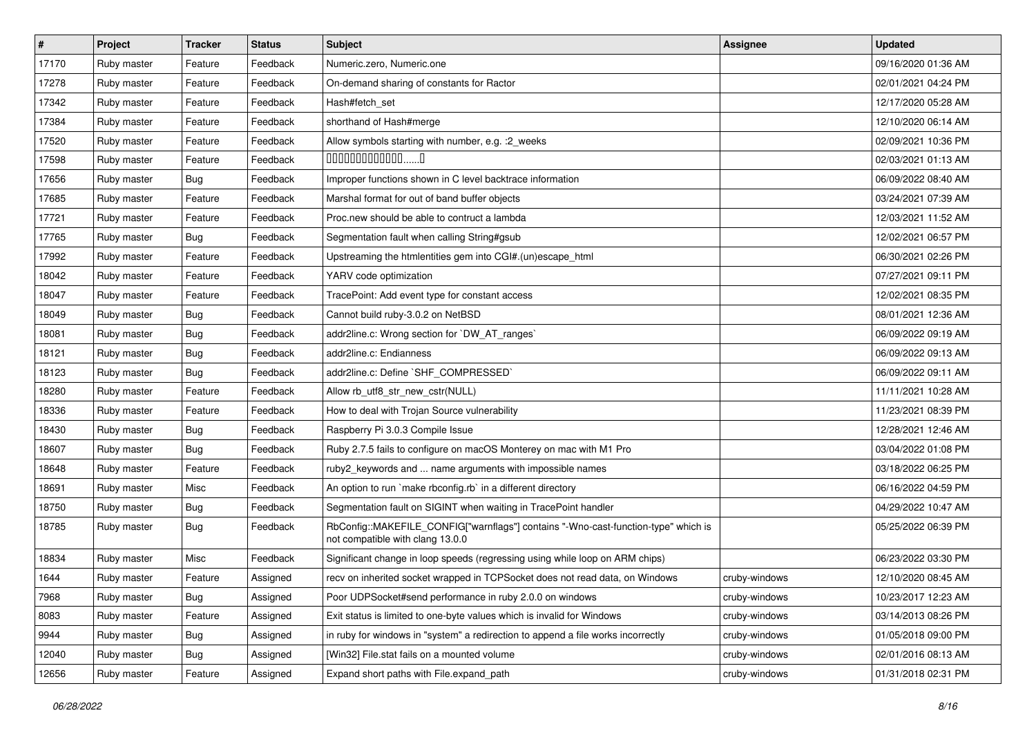| $\vert$ # | Project     | <b>Tracker</b> | <b>Status</b> | <b>Subject</b>                                                                                                         | Assignee      | <b>Updated</b>      |
|-----------|-------------|----------------|---------------|------------------------------------------------------------------------------------------------------------------------|---------------|---------------------|
| 17170     | Ruby master | Feature        | Feedback      | Numeric.zero, Numeric.one                                                                                              |               | 09/16/2020 01:36 AM |
| 17278     | Ruby master | Feature        | Feedback      | On-demand sharing of constants for Ractor                                                                              |               | 02/01/2021 04:24 PM |
| 17342     | Ruby master | Feature        | Feedback      | Hash#fetch set                                                                                                         |               | 12/17/2020 05:28 AM |
| 17384     | Ruby master | Feature        | Feedback      | shorthand of Hash#merge                                                                                                |               | 12/10/2020 06:14 AM |
| 17520     | Ruby master | Feature        | Feedback      | Allow symbols starting with number, e.g. : 2_weeks                                                                     |               | 02/09/2021 10:36 PM |
| 17598     | Ruby master | Feature        | Feedback      | 00000000000000                                                                                                         |               | 02/03/2021 01:13 AM |
| 17656     | Ruby master | <b>Bug</b>     | Feedback      | Improper functions shown in C level backtrace information                                                              |               | 06/09/2022 08:40 AM |
| 17685     | Ruby master | Feature        | Feedback      | Marshal format for out of band buffer objects                                                                          |               | 03/24/2021 07:39 AM |
| 17721     | Ruby master | Feature        | Feedback      | Proc.new should be able to contruct a lambda                                                                           |               | 12/03/2021 11:52 AM |
| 17765     | Ruby master | Bug            | Feedback      | Segmentation fault when calling String#gsub                                                                            |               | 12/02/2021 06:57 PM |
| 17992     | Ruby master | Feature        | Feedback      | Upstreaming the htmlentities gem into CGI#.(un)escape html                                                             |               | 06/30/2021 02:26 PM |
| 18042     | Ruby master | Feature        | Feedback      | YARV code optimization                                                                                                 |               | 07/27/2021 09:11 PM |
| 18047     | Ruby master | Feature        | Feedback      | TracePoint: Add event type for constant access                                                                         |               | 12/02/2021 08:35 PM |
| 18049     | Ruby master | Bug            | Feedback      | Cannot build ruby-3.0.2 on NetBSD                                                                                      |               | 08/01/2021 12:36 AM |
| 18081     | Ruby master | Bug            | Feedback      | addr2line.c: Wrong section for `DW_AT_ranges`                                                                          |               | 06/09/2022 09:19 AM |
| 18121     | Ruby master | <b>Bug</b>     | Feedback      | addr2line.c: Endianness                                                                                                |               | 06/09/2022 09:13 AM |
| 18123     | Ruby master | Bug            | Feedback      | addr2line.c: Define `SHF_COMPRESSED`                                                                                   |               | 06/09/2022 09:11 AM |
| 18280     | Ruby master | Feature        | Feedback      | Allow rb_utf8_str_new_cstr(NULL)                                                                                       |               | 11/11/2021 10:28 AM |
| 18336     | Ruby master | Feature        | Feedback      | How to deal with Trojan Source vulnerability                                                                           |               | 11/23/2021 08:39 PM |
| 18430     | Ruby master | Bug            | Feedback      | Raspberry Pi 3.0.3 Compile Issue                                                                                       |               | 12/28/2021 12:46 AM |
| 18607     | Ruby master | Bug            | Feedback      | Ruby 2.7.5 fails to configure on macOS Monterey on mac with M1 Pro                                                     |               | 03/04/2022 01:08 PM |
| 18648     | Ruby master | Feature        | Feedback      | ruby2_keywords and  name arguments with impossible names                                                               |               | 03/18/2022 06:25 PM |
| 18691     | Ruby master | Misc           | Feedback      | An option to run `make rbconfig.rb` in a different directory                                                           |               | 06/16/2022 04:59 PM |
| 18750     | Ruby master | Bug            | Feedback      | Segmentation fault on SIGINT when waiting in TracePoint handler                                                        |               | 04/29/2022 10:47 AM |
| 18785     | Ruby master | <b>Bug</b>     | Feedback      | RbConfig::MAKEFILE_CONFIG["warnflags"] contains "-Wno-cast-function-type" which is<br>not compatible with clang 13.0.0 |               | 05/25/2022 06:39 PM |
| 18834     | Ruby master | Misc           | Feedback      | Significant change in loop speeds (regressing using while loop on ARM chips)                                           |               | 06/23/2022 03:30 PM |
| 1644      | Ruby master | Feature        | Assigned      | recv on inherited socket wrapped in TCPSocket does not read data, on Windows                                           | cruby-windows | 12/10/2020 08:45 AM |
| 7968      | Ruby master | Bug            | Assigned      | Poor UDPSocket#send performance in ruby 2.0.0 on windows                                                               | cruby-windows | 10/23/2017 12:23 AM |
| 8083      | Ruby master | Feature        | Assigned      | Exit status is limited to one-byte values which is invalid for Windows                                                 | cruby-windows | 03/14/2013 08:26 PM |
| 9944      | Ruby master | Bug            | Assigned      | in ruby for windows in "system" a redirection to append a file works incorrectly                                       | cruby-windows | 01/05/2018 09:00 PM |
| 12040     | Ruby master | <b>Bug</b>     | Assigned      | [Win32] File.stat fails on a mounted volume                                                                            | cruby-windows | 02/01/2016 08:13 AM |
| 12656     | Ruby master | Feature        | Assigned      | Expand short paths with File.expand_path                                                                               | cruby-windows | 01/31/2018 02:31 PM |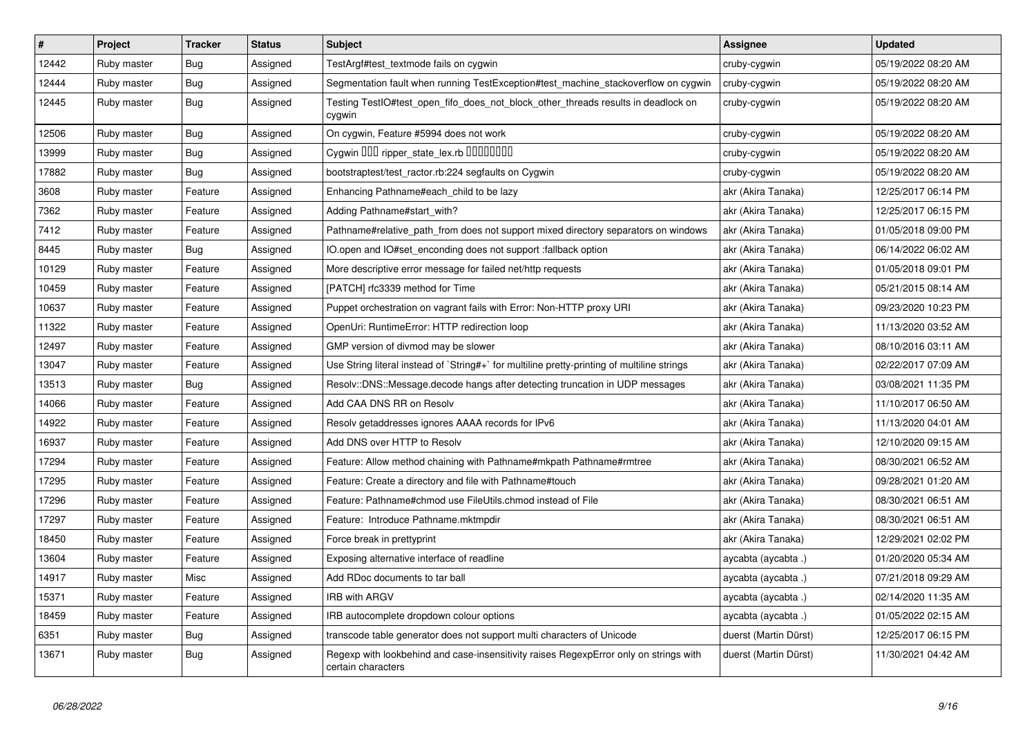| $\vert$ # | Project     | <b>Tracker</b> | <b>Status</b> | <b>Subject</b>                                                                                              | <b>Assignee</b>       | <b>Updated</b>      |
|-----------|-------------|----------------|---------------|-------------------------------------------------------------------------------------------------------------|-----------------------|---------------------|
| 12442     | Ruby master | Bug            | Assigned      | TestArgf#test_textmode fails on cygwin                                                                      | cruby-cygwin          | 05/19/2022 08:20 AM |
| 12444     | Ruby master | Bug            | Assigned      | Segmentation fault when running TestException#test_machine_stackoverflow on cygwin                          | cruby-cygwin          | 05/19/2022 08:20 AM |
| 12445     | Ruby master | Bug            | Assigned      | Testing TestIO#test open fifo does not block other threads results in deadlock on<br>cygwin                 | cruby-cygwin          | 05/19/2022 08:20 AM |
| 12506     | Ruby master | Bug            | Assigned      | On cygwin, Feature #5994 does not work                                                                      | cruby-cygwin          | 05/19/2022 08:20 AM |
| 13999     | Ruby master | <b>Bug</b>     | Assigned      | Cygwin OOD ripper_state_lex.rb 0000000                                                                      | cruby-cygwin          | 05/19/2022 08:20 AM |
| 17882     | Ruby master | <b>Bug</b>     | Assigned      | bootstraptest/test_ractor.rb:224 segfaults on Cygwin                                                        | cruby-cygwin          | 05/19/2022 08:20 AM |
| 3608      | Ruby master | Feature        | Assigned      | Enhancing Pathname#each_child to be lazy                                                                    | akr (Akira Tanaka)    | 12/25/2017 06:14 PM |
| 7362      | Ruby master | Feature        | Assigned      | Adding Pathname#start_with?                                                                                 | akr (Akira Tanaka)    | 12/25/2017 06:15 PM |
| 7412      | Ruby master | Feature        | Assigned      | Pathname#relative path_from does not support mixed directory separators on windows                          | akr (Akira Tanaka)    | 01/05/2018 09:00 PM |
| 8445      | Ruby master | Bug            | Assigned      | IO.open and IO#set enconding does not support :fallback option                                              | akr (Akira Tanaka)    | 06/14/2022 06:02 AM |
| 10129     | Ruby master | Feature        | Assigned      | More descriptive error message for failed net/http requests                                                 | akr (Akira Tanaka)    | 01/05/2018 09:01 PM |
| 10459     | Ruby master | Feature        | Assigned      | [PATCH] rfc3339 method for Time                                                                             | akr (Akira Tanaka)    | 05/21/2015 08:14 AM |
| 10637     | Ruby master | Feature        | Assigned      | Puppet orchestration on vagrant fails with Error: Non-HTTP proxy URI                                        | akr (Akira Tanaka)    | 09/23/2020 10:23 PM |
| 11322     | Ruby master | Feature        | Assigned      | OpenUri: RuntimeError: HTTP redirection loop                                                                | akr (Akira Tanaka)    | 11/13/2020 03:52 AM |
| 12497     | Ruby master | Feature        | Assigned      | GMP version of divmod may be slower                                                                         | akr (Akira Tanaka)    | 08/10/2016 03:11 AM |
| 13047     | Ruby master | Feature        | Assigned      | Use String literal instead of `String#+` for multiline pretty-printing of multiline strings                 | akr (Akira Tanaka)    | 02/22/2017 07:09 AM |
| 13513     | Ruby master | <b>Bug</b>     | Assigned      | Resolv::DNS::Message.decode hangs after detecting truncation in UDP messages                                | akr (Akira Tanaka)    | 03/08/2021 11:35 PM |
| 14066     | Ruby master | Feature        | Assigned      | Add CAA DNS RR on Resolv                                                                                    | akr (Akira Tanaka)    | 11/10/2017 06:50 AM |
| 14922     | Ruby master | Feature        | Assigned      | Resolv getaddresses ignores AAAA records for IPv6                                                           | akr (Akira Tanaka)    | 11/13/2020 04:01 AM |
| 16937     | Ruby master | Feature        | Assigned      | Add DNS over HTTP to Resolv                                                                                 | akr (Akira Tanaka)    | 12/10/2020 09:15 AM |
| 17294     | Ruby master | Feature        | Assigned      | Feature: Allow method chaining with Pathname#mkpath Pathname#rmtree                                         | akr (Akira Tanaka)    | 08/30/2021 06:52 AM |
| 17295     | Ruby master | Feature        | Assigned      | Feature: Create a directory and file with Pathname#touch                                                    | akr (Akira Tanaka)    | 09/28/2021 01:20 AM |
| 17296     | Ruby master | Feature        | Assigned      | Feature: Pathname#chmod use FileUtils.chmod instead of File                                                 | akr (Akira Tanaka)    | 08/30/2021 06:51 AM |
| 17297     | Ruby master | Feature        | Assigned      | Feature: Introduce Pathname.mktmpdir                                                                        | akr (Akira Tanaka)    | 08/30/2021 06:51 AM |
| 18450     | Ruby master | Feature        | Assigned      | Force break in prettyprint                                                                                  | akr (Akira Tanaka)    | 12/29/2021 02:02 PM |
| 13604     | Ruby master | Feature        | Assigned      | Exposing alternative interface of readline                                                                  | aycabta (aycabta.)    | 01/20/2020 05:34 AM |
| 14917     | Ruby master | Misc           | Assigned      | Add RDoc documents to tar ball                                                                              | aycabta (aycabta .)   | 07/21/2018 09:29 AM |
| 15371     | Ruby master | Feature        | Assigned      | <b>IRB with ARGV</b>                                                                                        | aycabta (aycabta.)    | 02/14/2020 11:35 AM |
| 18459     | Ruby master | Feature        | Assigned      | IRB autocomplete dropdown colour options                                                                    | aycabta (aycabta .)   | 01/05/2022 02:15 AM |
| 6351      | Ruby master | Bug            | Assigned      | transcode table generator does not support multi characters of Unicode                                      | duerst (Martin Dürst) | 12/25/2017 06:15 PM |
| 13671     | Ruby master | Bug            | Assigned      | Regexp with lookbehind and case-insensitivity raises RegexpError only on strings with<br>certain characters | duerst (Martin Dürst) | 11/30/2021 04:42 AM |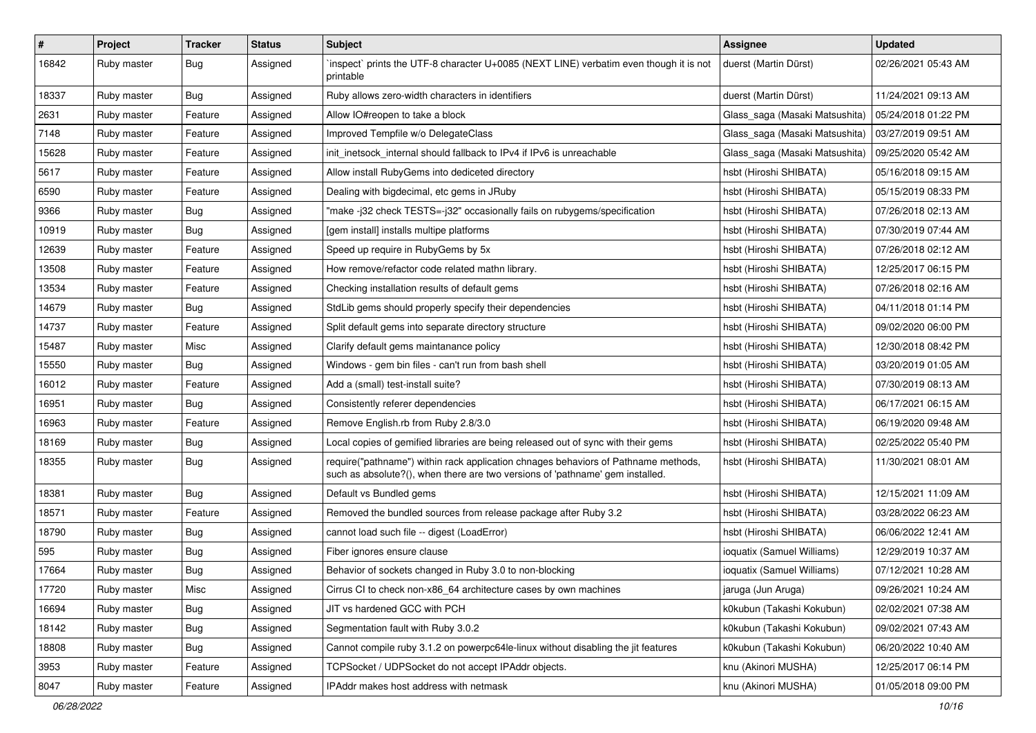| $\vert$ # | Project     | <b>Tracker</b> | <b>Status</b> | Subject                                                                                                                                                             | <b>Assignee</b>                | <b>Updated</b>      |
|-----------|-------------|----------------|---------------|---------------------------------------------------------------------------------------------------------------------------------------------------------------------|--------------------------------|---------------------|
| 16842     | Ruby master | Bug            | Assigned      | 'inspect' prints the UTF-8 character U+0085 (NEXT LINE) verbatim even though it is not<br>printable                                                                 | duerst (Martin Dürst)          | 02/26/2021 05:43 AM |
| 18337     | Ruby master | Bug            | Assigned      | Ruby allows zero-width characters in identifiers                                                                                                                    | duerst (Martin Dürst)          | 11/24/2021 09:13 AM |
| 2631      | Ruby master | Feature        | Assigned      | Allow IO#reopen to take a block                                                                                                                                     | Glass_saga (Masaki Matsushita) | 05/24/2018 01:22 PM |
| 7148      | Ruby master | Feature        | Assigned      | Improved Tempfile w/o DelegateClass                                                                                                                                 | Glass_saga (Masaki Matsushita) | 03/27/2019 09:51 AM |
| 15628     | Ruby master | Feature        | Assigned      | init_inetsock_internal should fallback to IPv4 if IPv6 is unreachable                                                                                               | Glass saga (Masaki Matsushita) | 09/25/2020 05:42 AM |
| 5617      | Ruby master | Feature        | Assigned      | Allow install RubyGems into dediceted directory                                                                                                                     | hsbt (Hiroshi SHIBATA)         | 05/16/2018 09:15 AM |
| 6590      | Ruby master | Feature        | Assigned      | Dealing with bigdecimal, etc gems in JRuby                                                                                                                          | hsbt (Hiroshi SHIBATA)         | 05/15/2019 08:33 PM |
| 9366      | Ruby master | Bug            | Assigned      | "make-i32 check TESTS=-i32" occasionally fails on rubygems/specification                                                                                            | hsbt (Hiroshi SHIBATA)         | 07/26/2018 02:13 AM |
| 10919     | Ruby master | Bug            | Assigned      | [gem install] installs multipe platforms                                                                                                                            | hsbt (Hiroshi SHIBATA)         | 07/30/2019 07:44 AM |
| 12639     | Ruby master | Feature        | Assigned      | Speed up require in RubyGems by 5x                                                                                                                                  | hsbt (Hiroshi SHIBATA)         | 07/26/2018 02:12 AM |
| 13508     | Ruby master | Feature        | Assigned      | How remove/refactor code related mathn library.                                                                                                                     | hsbt (Hiroshi SHIBATA)         | 12/25/2017 06:15 PM |
| 13534     | Ruby master | Feature        | Assigned      | Checking installation results of default gems                                                                                                                       | hsbt (Hiroshi SHIBATA)         | 07/26/2018 02:16 AM |
| 14679     | Ruby master | Bug            | Assigned      | StdLib gems should properly specify their dependencies                                                                                                              | hsbt (Hiroshi SHIBATA)         | 04/11/2018 01:14 PM |
| 14737     | Ruby master | Feature        | Assigned      | Split default gems into separate directory structure                                                                                                                | hsbt (Hiroshi SHIBATA)         | 09/02/2020 06:00 PM |
| 15487     | Ruby master | Misc           | Assigned      | Clarify default gems maintanance policy                                                                                                                             | hsbt (Hiroshi SHIBATA)         | 12/30/2018 08:42 PM |
| 15550     | Ruby master | Bug            | Assigned      | Windows - gem bin files - can't run from bash shell                                                                                                                 | hsbt (Hiroshi SHIBATA)         | 03/20/2019 01:05 AM |
| 16012     | Ruby master | Feature        | Assigned      | Add a (small) test-install suite?                                                                                                                                   | hsbt (Hiroshi SHIBATA)         | 07/30/2019 08:13 AM |
| 16951     | Ruby master | Bug            | Assigned      | Consistently referer dependencies                                                                                                                                   | hsbt (Hiroshi SHIBATA)         | 06/17/2021 06:15 AM |
| 16963     | Ruby master | Feature        | Assigned      | Remove English.rb from Ruby 2.8/3.0                                                                                                                                 | hsbt (Hiroshi SHIBATA)         | 06/19/2020 09:48 AM |
| 18169     | Ruby master | Bug            | Assigned      | Local copies of gemified libraries are being released out of sync with their gems                                                                                   | hsbt (Hiroshi SHIBATA)         | 02/25/2022 05:40 PM |
| 18355     | Ruby master | Bug            | Assigned      | require("pathname") within rack application chnages behaviors of Pathname methods,<br>such as absolute?(), when there are two versions of 'pathname' gem installed. | hsbt (Hiroshi SHIBATA)         | 11/30/2021 08:01 AM |
| 18381     | Ruby master | Bug            | Assigned      | Default vs Bundled gems                                                                                                                                             | hsbt (Hiroshi SHIBATA)         | 12/15/2021 11:09 AM |
| 18571     | Ruby master | Feature        | Assigned      | Removed the bundled sources from release package after Ruby 3.2                                                                                                     | hsbt (Hiroshi SHIBATA)         | 03/28/2022 06:23 AM |
| 18790     | Ruby master | Bug            | Assigned      | cannot load such file -- digest (LoadError)                                                                                                                         | hsbt (Hiroshi SHIBATA)         | 06/06/2022 12:41 AM |
| 595       | Ruby master | Bug            | Assigned      | Fiber ignores ensure clause                                                                                                                                         | ioquatix (Samuel Williams)     | 12/29/2019 10:37 AM |
| 17664     | Ruby master | Bug            | Assigned      | Behavior of sockets changed in Ruby 3.0 to non-blocking                                                                                                             | ioquatix (Samuel Williams)     | 07/12/2021 10:28 AM |
| 17720     | Ruby master | Misc           | Assigned      | Cirrus CI to check non-x86_64 architecture cases by own machines                                                                                                    | jaruga (Jun Aruga)             | 09/26/2021 10:24 AM |
| 16694     | Ruby master | <b>Bug</b>     | Assigned      | JIT vs hardened GCC with PCH                                                                                                                                        | k0kubun (Takashi Kokubun)      | 02/02/2021 07:38 AM |
| 18142     | Ruby master | <b>Bug</b>     | Assigned      | Segmentation fault with Ruby 3.0.2                                                                                                                                  | k0kubun (Takashi Kokubun)      | 09/02/2021 07:43 AM |
| 18808     | Ruby master | <b>Bug</b>     | Assigned      | Cannot compile ruby 3.1.2 on powerpc64le-linux without disabling the jit features                                                                                   | k0kubun (Takashi Kokubun)      | 06/20/2022 10:40 AM |
| 3953      | Ruby master | Feature        | Assigned      | TCPSocket / UDPSocket do not accept IPAddr objects.                                                                                                                 | knu (Akinori MUSHA)            | 12/25/2017 06:14 PM |
| 8047      | Ruby master | Feature        | Assigned      | IPAddr makes host address with netmask                                                                                                                              | knu (Akinori MUSHA)            | 01/05/2018 09:00 PM |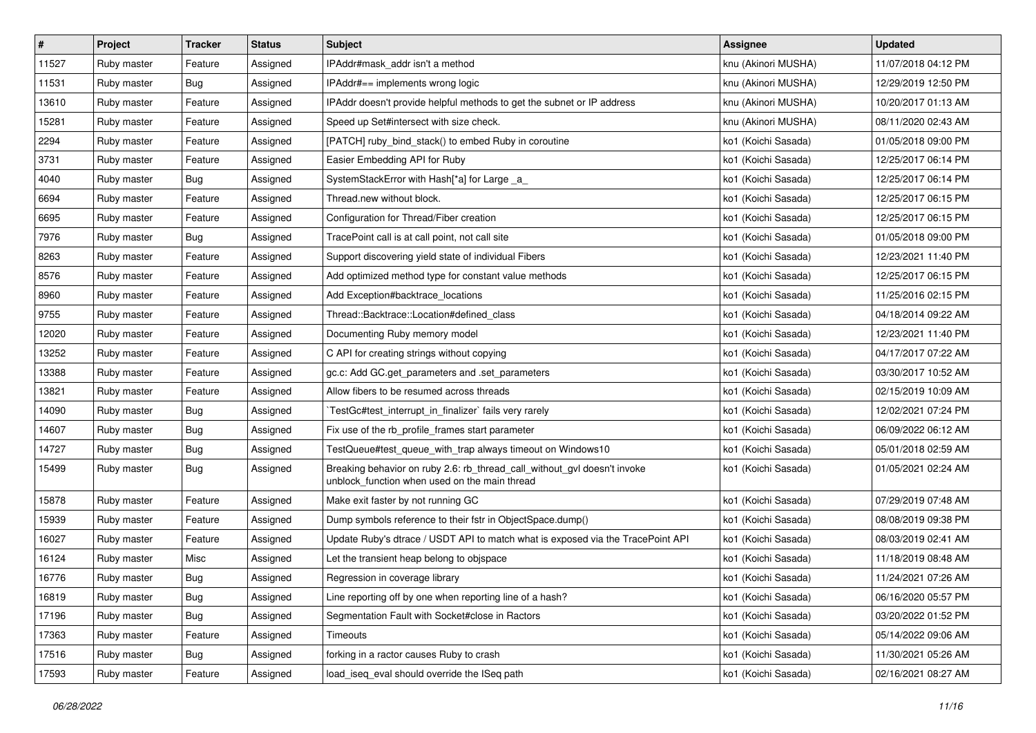| #     | Project     | <b>Tracker</b> | <b>Status</b> | Subject                                                                                                                   | Assignee            | <b>Updated</b>      |
|-------|-------------|----------------|---------------|---------------------------------------------------------------------------------------------------------------------------|---------------------|---------------------|
| 11527 | Ruby master | Feature        | Assigned      | IPAddr#mask addr isn't a method                                                                                           | knu (Akinori MUSHA) | 11/07/2018 04:12 PM |
| 11531 | Ruby master | Bug            | Assigned      | IPAddr#== implements wrong logic                                                                                          | knu (Akinori MUSHA) | 12/29/2019 12:50 PM |
| 13610 | Ruby master | Feature        | Assigned      | IPAddr doesn't provide helpful methods to get the subnet or IP address                                                    | knu (Akinori MUSHA) | 10/20/2017 01:13 AM |
| 15281 | Ruby master | Feature        | Assigned      | Speed up Set#intersect with size check.                                                                                   | knu (Akinori MUSHA) | 08/11/2020 02:43 AM |
| 2294  | Ruby master | Feature        | Assigned      | [PATCH] ruby bind stack() to embed Ruby in coroutine                                                                      | ko1 (Koichi Sasada) | 01/05/2018 09:00 PM |
| 3731  | Ruby master | Feature        | Assigned      | Easier Embedding API for Ruby                                                                                             | ko1 (Koichi Sasada) | 12/25/2017 06:14 PM |
| 4040  | Ruby master | Bug            | Assigned      | SystemStackError with Hash[*a] for Large a                                                                                | ko1 (Koichi Sasada) | 12/25/2017 06:14 PM |
| 6694  | Ruby master | Feature        | Assigned      | Thread.new without block.                                                                                                 | ko1 (Koichi Sasada) | 12/25/2017 06:15 PM |
| 6695  | Ruby master | Feature        | Assigned      | Configuration for Thread/Fiber creation                                                                                   | ko1 (Koichi Sasada) | 12/25/2017 06:15 PM |
| 7976  | Ruby master | Bug            | Assigned      | TracePoint call is at call point, not call site                                                                           | ko1 (Koichi Sasada) | 01/05/2018 09:00 PM |
| 8263  | Ruby master | Feature        | Assigned      | Support discovering yield state of individual Fibers                                                                      | ko1 (Koichi Sasada) | 12/23/2021 11:40 PM |
| 8576  | Ruby master | Feature        | Assigned      | Add optimized method type for constant value methods                                                                      | ko1 (Koichi Sasada) | 12/25/2017 06:15 PM |
| 8960  | Ruby master | Feature        | Assigned      | Add Exception#backtrace_locations                                                                                         | ko1 (Koichi Sasada) | 11/25/2016 02:15 PM |
| 9755  | Ruby master | Feature        | Assigned      | Thread::Backtrace::Location#defined class                                                                                 | ko1 (Koichi Sasada) | 04/18/2014 09:22 AM |
| 12020 | Ruby master | Feature        | Assigned      | Documenting Ruby memory model                                                                                             | ko1 (Koichi Sasada) | 12/23/2021 11:40 PM |
| 13252 | Ruby master | Feature        | Assigned      | C API for creating strings without copying                                                                                | ko1 (Koichi Sasada) | 04/17/2017 07:22 AM |
| 13388 | Ruby master | Feature        | Assigned      | gc.c: Add GC.get_parameters and .set_parameters                                                                           | ko1 (Koichi Sasada) | 03/30/2017 10:52 AM |
| 13821 | Ruby master | Feature        | Assigned      | Allow fibers to be resumed across threads                                                                                 | ko1 (Koichi Sasada) | 02/15/2019 10:09 AM |
| 14090 | Ruby master | <b>Bug</b>     | Assigned      | TestGc#test interrupt in finalizer` fails very rarely                                                                     | ko1 (Koichi Sasada) | 12/02/2021 07:24 PM |
| 14607 | Ruby master | Bug            | Assigned      | Fix use of the rb_profile_frames start parameter                                                                          | ko1 (Koichi Sasada) | 06/09/2022 06:12 AM |
| 14727 | Ruby master | Bug            | Assigned      | TestQueue#test queue with trap always timeout on Windows10                                                                | ko1 (Koichi Sasada) | 05/01/2018 02:59 AM |
| 15499 | Ruby master | Bug            | Assigned      | Breaking behavior on ruby 2.6: rb_thread_call_without_gvl doesn't invoke<br>unblock_function when used on the main thread | ko1 (Koichi Sasada) | 01/05/2021 02:24 AM |
| 15878 | Ruby master | Feature        | Assigned      | Make exit faster by not running GC                                                                                        | ko1 (Koichi Sasada) | 07/29/2019 07:48 AM |
| 15939 | Ruby master | Feature        | Assigned      | Dump symbols reference to their fstr in ObjectSpace.dump()                                                                | ko1 (Koichi Sasada) | 08/08/2019 09:38 PM |
| 16027 | Ruby master | Feature        | Assigned      | Update Ruby's dtrace / USDT API to match what is exposed via the TracePoint API                                           | ko1 (Koichi Sasada) | 08/03/2019 02:41 AM |
| 16124 | Ruby master | Misc           | Assigned      | Let the transient heap belong to obispace                                                                                 | ko1 (Koichi Sasada) | 11/18/2019 08:48 AM |
| 16776 | Ruby master | <b>Bug</b>     | Assigned      | Regression in coverage library                                                                                            | ko1 (Koichi Sasada) | 11/24/2021 07:26 AM |
| 16819 | Ruby master | Bug            | Assigned      | Line reporting off by one when reporting line of a hash?                                                                  | ko1 (Koichi Sasada) | 06/16/2020 05:57 PM |
| 17196 | Ruby master | <b>Bug</b>     | Assigned      | Segmentation Fault with Socket#close in Ractors                                                                           | ko1 (Koichi Sasada) | 03/20/2022 01:52 PM |
| 17363 | Ruby master | Feature        | Assigned      | Timeouts                                                                                                                  | ko1 (Koichi Sasada) | 05/14/2022 09:06 AM |
| 17516 | Ruby master | <b>Bug</b>     | Assigned      | forking in a ractor causes Ruby to crash                                                                                  | ko1 (Koichi Sasada) | 11/30/2021 05:26 AM |
| 17593 | Ruby master | Feature        | Assigned      | load_iseq_eval should override the ISeq path                                                                              | ko1 (Koichi Sasada) | 02/16/2021 08:27 AM |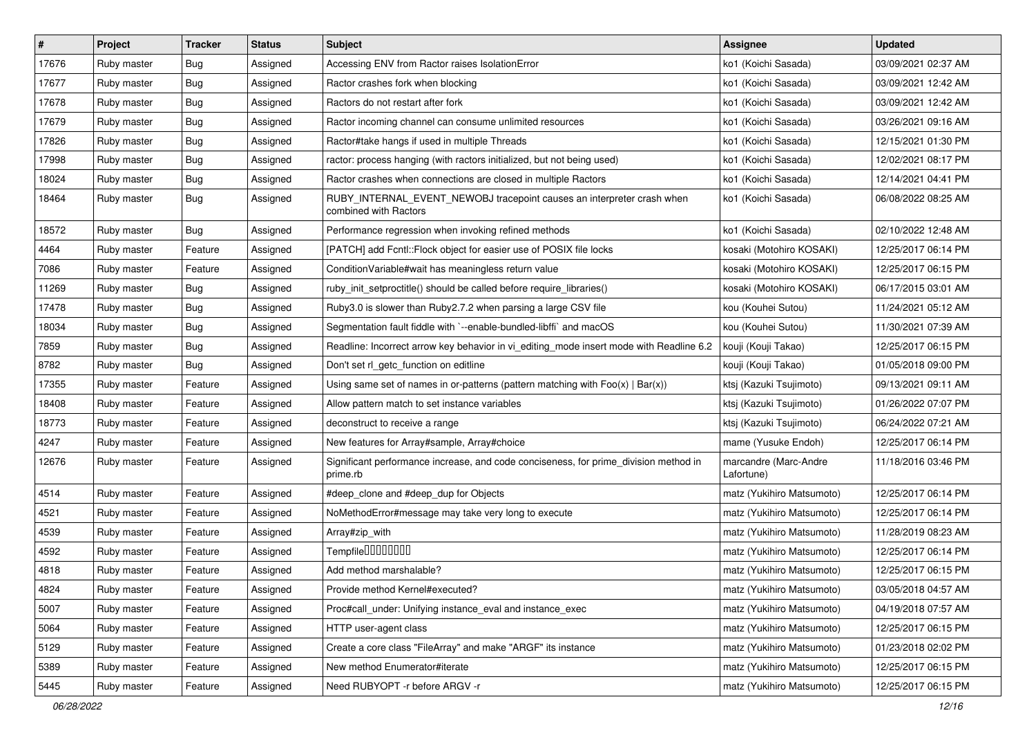| #     | Project     | <b>Tracker</b> | <b>Status</b> | Subject                                                                                          | <b>Assignee</b>                     | <b>Updated</b>      |
|-------|-------------|----------------|---------------|--------------------------------------------------------------------------------------------------|-------------------------------------|---------------------|
| 17676 | Ruby master | Bug            | Assigned      | Accessing ENV from Ractor raises IsolationError                                                  | ko1 (Koichi Sasada)                 | 03/09/2021 02:37 AM |
| 17677 | Ruby master | <b>Bug</b>     | Assigned      | Ractor crashes fork when blocking                                                                | ko1 (Koichi Sasada)                 | 03/09/2021 12:42 AM |
| 17678 | Ruby master | <b>Bug</b>     | Assigned      | Ractors do not restart after fork                                                                | ko1 (Koichi Sasada)                 | 03/09/2021 12:42 AM |
| 17679 | Ruby master | Bug            | Assigned      | Ractor incoming channel can consume unlimited resources                                          | ko1 (Koichi Sasada)                 | 03/26/2021 09:16 AM |
| 17826 | Ruby master | Bug            | Assigned      | Ractor#take hangs if used in multiple Threads                                                    | ko1 (Koichi Sasada)                 | 12/15/2021 01:30 PM |
| 17998 | Ruby master | Bug            | Assigned      | ractor: process hanging (with ractors initialized, but not being used)                           | ko1 (Koichi Sasada)                 | 12/02/2021 08:17 PM |
| 18024 | Ruby master | <b>Bug</b>     | Assigned      | Ractor crashes when connections are closed in multiple Ractors                                   | ko1 (Koichi Sasada)                 | 12/14/2021 04:41 PM |
| 18464 | Ruby master | <b>Bug</b>     | Assigned      | RUBY_INTERNAL_EVENT_NEWOBJ tracepoint causes an interpreter crash when<br>combined with Ractors  | ko1 (Koichi Sasada)                 | 06/08/2022 08:25 AM |
| 18572 | Ruby master | <b>Bug</b>     | Assigned      | Performance regression when invoking refined methods                                             | ko1 (Koichi Sasada)                 | 02/10/2022 12:48 AM |
| 4464  | Ruby master | Feature        | Assigned      | [PATCH] add Fcntl::Flock object for easier use of POSIX file locks                               | kosaki (Motohiro KOSAKI)            | 12/25/2017 06:14 PM |
| 7086  | Ruby master | Feature        | Assigned      | ConditionVariable#wait has meaningless return value                                              | kosaki (Motohiro KOSAKI)            | 12/25/2017 06:15 PM |
| 11269 | Ruby master | <b>Bug</b>     | Assigned      | ruby_init_setproctitle() should be called before require_libraries()                             | kosaki (Motohiro KOSAKI)            | 06/17/2015 03:01 AM |
| 17478 | Ruby master | <b>Bug</b>     | Assigned      | Ruby3.0 is slower than Ruby2.7.2 when parsing a large CSV file                                   | kou (Kouhei Sutou)                  | 11/24/2021 05:12 AM |
| 18034 | Ruby master | <b>Bug</b>     | Assigned      | Segmentation fault fiddle with `--enable-bundled-libffi` and macOS                               | kou (Kouhei Sutou)                  | 11/30/2021 07:39 AM |
| 7859  | Ruby master | Bug            | Assigned      | Readline: Incorrect arrow key behavior in vi_editing_mode insert mode with Readline 6.2          | kouji (Kouji Takao)                 | 12/25/2017 06:15 PM |
| 8782  | Ruby master | Bug            | Assigned      | Don't set rl getc function on editline                                                           | kouji (Kouji Takao)                 | 01/05/2018 09:00 PM |
| 17355 | Ruby master | Feature        | Assigned      | Using same set of names in or-patterns (pattern matching with $Foo(x)   Bar(x)$ )                | ktsj (Kazuki Tsujimoto)             | 09/13/2021 09:11 AM |
| 18408 | Ruby master | Feature        | Assigned      | Allow pattern match to set instance variables                                                    | ktsj (Kazuki Tsujimoto)             | 01/26/2022 07:07 PM |
| 18773 | Ruby master | Feature        | Assigned      | deconstruct to receive a range                                                                   | ktsj (Kazuki Tsujimoto)             | 06/24/2022 07:21 AM |
| 4247  | Ruby master | Feature        | Assigned      | New features for Array#sample, Array#choice                                                      | mame (Yusuke Endoh)                 | 12/25/2017 06:14 PM |
| 12676 | Ruby master | Feature        | Assigned      | Significant performance increase, and code conciseness, for prime_division method in<br>prime.rb | marcandre (Marc-Andre<br>Lafortune) | 11/18/2016 03:46 PM |
| 4514  | Ruby master | Feature        | Assigned      | #deep_clone and #deep_dup for Objects                                                            | matz (Yukihiro Matsumoto)           | 12/25/2017 06:14 PM |
| 4521  | Ruby master | Feature        | Assigned      | NoMethodError#message may take very long to execute                                              | matz (Yukihiro Matsumoto)           | 12/25/2017 06:14 PM |
| 4539  | Ruby master | Feature        | Assigned      | Array#zip_with                                                                                   | matz (Yukihiro Matsumoto)           | 11/28/2019 08:23 AM |
| 4592  | Ruby master | Feature        | Assigned      | Tempfile0000000                                                                                  | matz (Yukihiro Matsumoto)           | 12/25/2017 06:14 PM |
| 4818  | Ruby master | Feature        | Assigned      | Add method marshalable?                                                                          | matz (Yukihiro Matsumoto)           | 12/25/2017 06:15 PM |
| 4824  | Ruby master | Feature        | Assigned      | Provide method Kernel#executed?                                                                  | matz (Yukihiro Matsumoto)           | 03/05/2018 04:57 AM |
| 5007  | Ruby master | Feature        | Assigned      | Proc#call_under: Unifying instance_eval and instance_exec                                        | matz (Yukihiro Matsumoto)           | 04/19/2018 07:57 AM |
| 5064  | Ruby master | Feature        | Assigned      | HTTP user-agent class                                                                            | matz (Yukihiro Matsumoto)           | 12/25/2017 06:15 PM |
| 5129  | Ruby master | Feature        | Assigned      | Create a core class "FileArray" and make "ARGF" its instance                                     | matz (Yukihiro Matsumoto)           | 01/23/2018 02:02 PM |
| 5389  | Ruby master | Feature        | Assigned      | New method Enumerator#iterate                                                                    | matz (Yukihiro Matsumoto)           | 12/25/2017 06:15 PM |
| 5445  | Ruby master | Feature        | Assigned      | Need RUBYOPT - r before ARGV - r                                                                 | matz (Yukihiro Matsumoto)           | 12/25/2017 06:15 PM |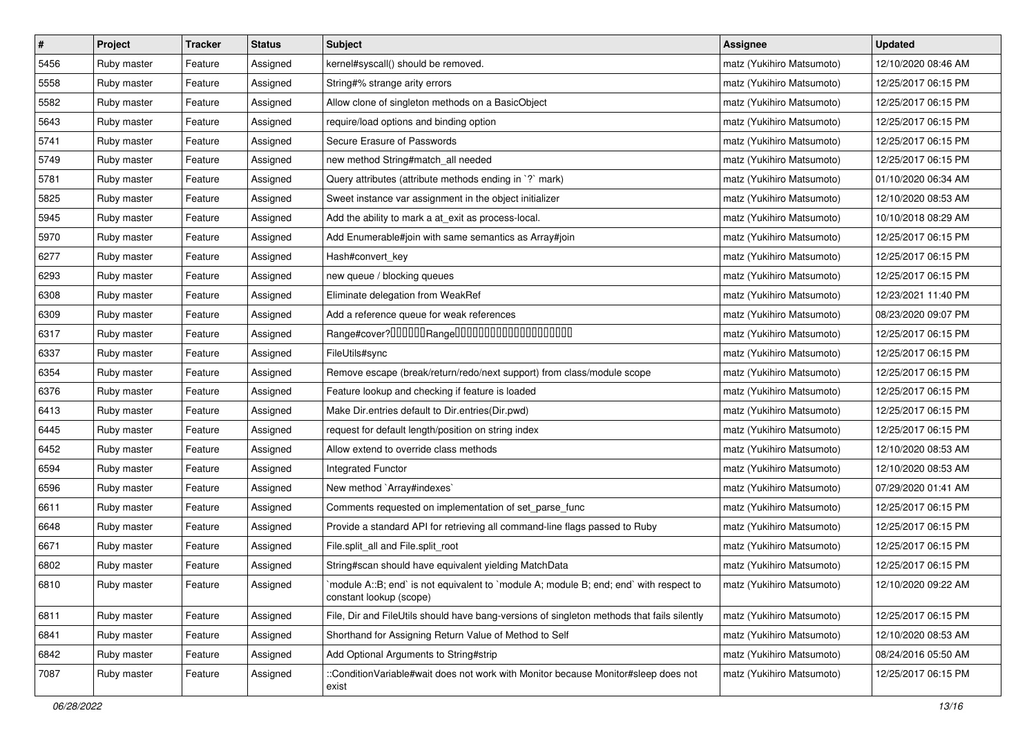| $\vert$ # | Project     | <b>Tracker</b> | <b>Status</b> | Subject                                                                                                           | <b>Assignee</b>           | <b>Updated</b>      |
|-----------|-------------|----------------|---------------|-------------------------------------------------------------------------------------------------------------------|---------------------------|---------------------|
| 5456      | Ruby master | Feature        | Assigned      | kernel#syscall() should be removed.                                                                               | matz (Yukihiro Matsumoto) | 12/10/2020 08:46 AM |
| 5558      | Ruby master | Feature        | Assigned      | String#% strange arity errors                                                                                     | matz (Yukihiro Matsumoto) | 12/25/2017 06:15 PM |
| 5582      | Ruby master | Feature        | Assigned      | Allow clone of singleton methods on a BasicObject                                                                 | matz (Yukihiro Matsumoto) | 12/25/2017 06:15 PM |
| 5643      | Ruby master | Feature        | Assigned      | require/load options and binding option                                                                           | matz (Yukihiro Matsumoto) | 12/25/2017 06:15 PM |
| 5741      | Ruby master | Feature        | Assigned      | Secure Erasure of Passwords                                                                                       | matz (Yukihiro Matsumoto) | 12/25/2017 06:15 PM |
| 5749      | Ruby master | Feature        | Assigned      | new method String#match_all needed                                                                                | matz (Yukihiro Matsumoto) | 12/25/2017 06:15 PM |
| 5781      | Ruby master | Feature        | Assigned      | Query attributes (attribute methods ending in `?` mark)                                                           | matz (Yukihiro Matsumoto) | 01/10/2020 06:34 AM |
| 5825      | Ruby master | Feature        | Assigned      | Sweet instance var assignment in the object initializer                                                           | matz (Yukihiro Matsumoto) | 12/10/2020 08:53 AM |
| 5945      | Ruby master | Feature        | Assigned      | Add the ability to mark a at_exit as process-local.                                                               | matz (Yukihiro Matsumoto) | 10/10/2018 08:29 AM |
| 5970      | Ruby master | Feature        | Assigned      | Add Enumerable#join with same semantics as Array#join                                                             | matz (Yukihiro Matsumoto) | 12/25/2017 06:15 PM |
| 6277      | Ruby master | Feature        | Assigned      | Hash#convert_key                                                                                                  | matz (Yukihiro Matsumoto) | 12/25/2017 06:15 PM |
| 6293      | Ruby master | Feature        | Assigned      | new queue / blocking queues                                                                                       | matz (Yukihiro Matsumoto) | 12/25/2017 06:15 PM |
| 6308      | Ruby master | Feature        | Assigned      | Eliminate delegation from WeakRef                                                                                 | matz (Yukihiro Matsumoto) | 12/23/2021 11:40 PM |
| 6309      | Ruby master | Feature        | Assigned      | Add a reference queue for weak references                                                                         | matz (Yukihiro Matsumoto) | 08/23/2020 09:07 PM |
| 6317      | Ruby master | Feature        | Assigned      | Range#cover?000000Range00000000000000000000                                                                       | matz (Yukihiro Matsumoto) | 12/25/2017 06:15 PM |
| 6337      | Ruby master | Feature        | Assigned      | FileUtils#sync                                                                                                    | matz (Yukihiro Matsumoto) | 12/25/2017 06:15 PM |
| 6354      | Ruby master | Feature        | Assigned      | Remove escape (break/return/redo/next support) from class/module scope                                            | matz (Yukihiro Matsumoto) | 12/25/2017 06:15 PM |
| 6376      | Ruby master | Feature        | Assigned      | Feature lookup and checking if feature is loaded                                                                  | matz (Yukihiro Matsumoto) | 12/25/2017 06:15 PM |
| 6413      | Ruby master | Feature        | Assigned      | Make Dir.entries default to Dir.entries(Dir.pwd)                                                                  | matz (Yukihiro Matsumoto) | 12/25/2017 06:15 PM |
| 6445      | Ruby master | Feature        | Assigned      | request for default length/position on string index                                                               | matz (Yukihiro Matsumoto) | 12/25/2017 06:15 PM |
| 6452      | Ruby master | Feature        | Assigned      | Allow extend to override class methods                                                                            | matz (Yukihiro Matsumoto) | 12/10/2020 08:53 AM |
| 6594      | Ruby master | Feature        | Assigned      | Integrated Functor                                                                                                | matz (Yukihiro Matsumoto) | 12/10/2020 08:53 AM |
| 6596      | Ruby master | Feature        | Assigned      | New method `Array#indexes`                                                                                        | matz (Yukihiro Matsumoto) | 07/29/2020 01:41 AM |
| 6611      | Ruby master | Feature        | Assigned      | Comments requested on implementation of set_parse_func                                                            | matz (Yukihiro Matsumoto) | 12/25/2017 06:15 PM |
| 6648      | Ruby master | Feature        | Assigned      | Provide a standard API for retrieving all command-line flags passed to Ruby                                       | matz (Yukihiro Matsumoto) | 12/25/2017 06:15 PM |
| 6671      | Ruby master | Feature        | Assigned      | File.split_all and File.split_root                                                                                | matz (Yukihiro Matsumoto) | 12/25/2017 06:15 PM |
| 6802      | Ruby master | Feature        | Assigned      | String#scan should have equivalent yielding MatchData                                                             | matz (Yukihiro Matsumoto) | 12/25/2017 06:15 PM |
| 6810      | Ruby master | Feature        | Assigned      | `module A::B; end` is not equivalent to `module A; module B; end; end` with respect to<br>constant lookup (scope) | matz (Yukihiro Matsumoto) | 12/10/2020 09:22 AM |
| 6811      | Ruby master | Feature        | Assigned      | File, Dir and FileUtils should have bang-versions of singleton methods that fails silently                        | matz (Yukihiro Matsumoto) | 12/25/2017 06:15 PM |
| 6841      | Ruby master | Feature        | Assigned      | Shorthand for Assigning Return Value of Method to Self                                                            | matz (Yukihiro Matsumoto) | 12/10/2020 08:53 AM |
| 6842      | Ruby master | Feature        | Assigned      | Add Optional Arguments to String#strip                                                                            | matz (Yukihiro Matsumoto) | 08/24/2016 05:50 AM |
| 7087      | Ruby master | Feature        | Assigned      | ::ConditionVariable#wait does not work with Monitor because Monitor#sleep does not<br>exist                       | matz (Yukihiro Matsumoto) | 12/25/2017 06:15 PM |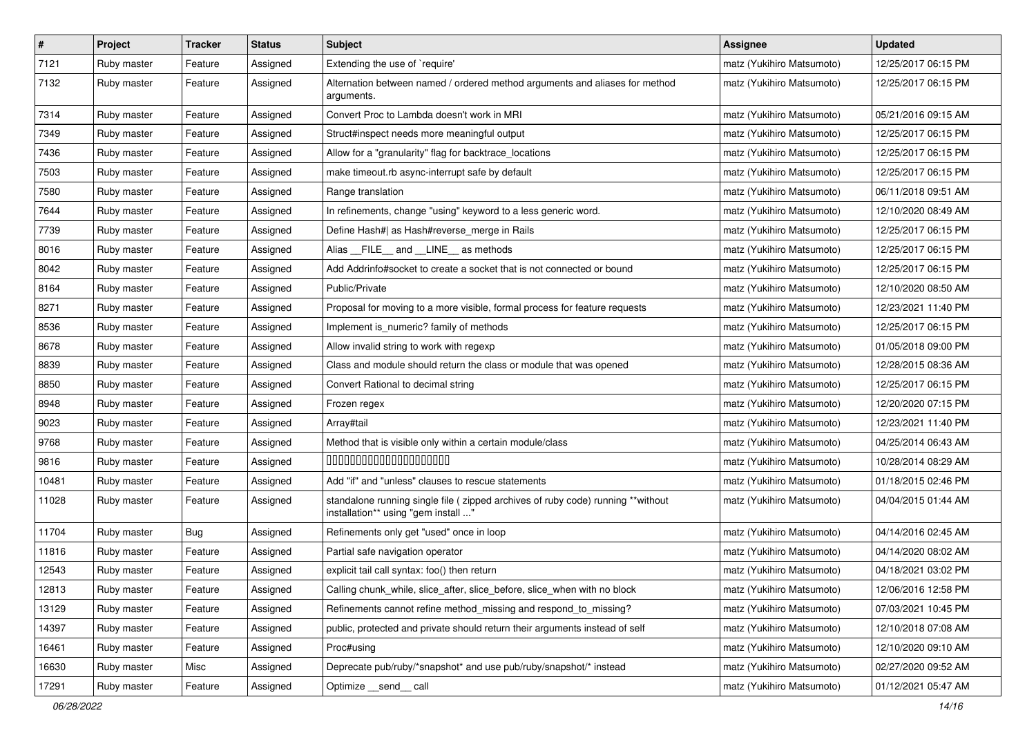| $\vert$ # | Project     | <b>Tracker</b> | <b>Status</b> | Subject                                                                                                                 | <b>Assignee</b>           | <b>Updated</b>      |
|-----------|-------------|----------------|---------------|-------------------------------------------------------------------------------------------------------------------------|---------------------------|---------------------|
| 7121      | Ruby master | Feature        | Assigned      | Extending the use of `require'                                                                                          | matz (Yukihiro Matsumoto) | 12/25/2017 06:15 PM |
| 7132      | Ruby master | Feature        | Assigned      | Alternation between named / ordered method arguments and aliases for method<br>arguments.                               | matz (Yukihiro Matsumoto) | 12/25/2017 06:15 PM |
| 7314      | Ruby master | Feature        | Assigned      | Convert Proc to Lambda doesn't work in MRI                                                                              | matz (Yukihiro Matsumoto) | 05/21/2016 09:15 AM |
| 7349      | Ruby master | Feature        | Assigned      | Struct#inspect needs more meaningful output                                                                             | matz (Yukihiro Matsumoto) | 12/25/2017 06:15 PM |
| 7436      | Ruby master | Feature        | Assigned      | Allow for a "granularity" flag for backtrace_locations                                                                  | matz (Yukihiro Matsumoto) | 12/25/2017 06:15 PM |
| 7503      | Ruby master | Feature        | Assigned      | make timeout.rb async-interrupt safe by default                                                                         | matz (Yukihiro Matsumoto) | 12/25/2017 06:15 PM |
| 7580      | Ruby master | Feature        | Assigned      | Range translation                                                                                                       | matz (Yukihiro Matsumoto) | 06/11/2018 09:51 AM |
| 7644      | Ruby master | Feature        | Assigned      | In refinements, change "using" keyword to a less generic word.                                                          | matz (Yukihiro Matsumoto) | 12/10/2020 08:49 AM |
| 7739      | Ruby master | Feature        | Assigned      | Define Hash#  as Hash#reverse_merge in Rails                                                                            | matz (Yukihiro Matsumoto) | 12/25/2017 06:15 PM |
| 8016      | Ruby master | Feature        | Assigned      | Alias __FILE__ and __LINE__ as methods                                                                                  | matz (Yukihiro Matsumoto) | 12/25/2017 06:15 PM |
| 8042      | Ruby master | Feature        | Assigned      | Add Addrinfo#socket to create a socket that is not connected or bound                                                   | matz (Yukihiro Matsumoto) | 12/25/2017 06:15 PM |
| 8164      | Ruby master | Feature        | Assigned      | Public/Private                                                                                                          | matz (Yukihiro Matsumoto) | 12/10/2020 08:50 AM |
| 8271      | Ruby master | Feature        | Assigned      | Proposal for moving to a more visible, formal process for feature requests                                              | matz (Yukihiro Matsumoto) | 12/23/2021 11:40 PM |
| 8536      | Ruby master | Feature        | Assigned      | Implement is_numeric? family of methods                                                                                 | matz (Yukihiro Matsumoto) | 12/25/2017 06:15 PM |
| 8678      | Ruby master | Feature        | Assigned      | Allow invalid string to work with regexp                                                                                | matz (Yukihiro Matsumoto) | 01/05/2018 09:00 PM |
| 8839      | Ruby master | Feature        | Assigned      | Class and module should return the class or module that was opened                                                      | matz (Yukihiro Matsumoto) | 12/28/2015 08:36 AM |
| 8850      | Ruby master | Feature        | Assigned      | Convert Rational to decimal string                                                                                      | matz (Yukihiro Matsumoto) | 12/25/2017 06:15 PM |
| 8948      | Ruby master | Feature        | Assigned      | Frozen regex                                                                                                            | matz (Yukihiro Matsumoto) | 12/20/2020 07:15 PM |
| 9023      | Ruby master | Feature        | Assigned      | Array#tail                                                                                                              | matz (Yukihiro Matsumoto) | 12/23/2021 11:40 PM |
| 9768      | Ruby master | Feature        | Assigned      | Method that is visible only within a certain module/class                                                               | matz (Yukihiro Matsumoto) | 04/25/2014 06:43 AM |
| 9816      | Ruby master | Feature        | Assigned      | 00000000000000000000                                                                                                    | matz (Yukihiro Matsumoto) | 10/28/2014 08:29 AM |
| 10481     | Ruby master | Feature        | Assigned      | Add "if" and "unless" clauses to rescue statements                                                                      | matz (Yukihiro Matsumoto) | 01/18/2015 02:46 PM |
| 11028     | Ruby master | Feature        | Assigned      | standalone running single file ( zipped archives of ruby code) running **without<br>installation** using "gem install " | matz (Yukihiro Matsumoto) | 04/04/2015 01:44 AM |
| 11704     | Ruby master | Bug            | Assigned      | Refinements only get "used" once in loop                                                                                | matz (Yukihiro Matsumoto) | 04/14/2016 02:45 AM |
| 11816     | Ruby master | Feature        | Assigned      | Partial safe navigation operator                                                                                        | matz (Yukihiro Matsumoto) | 04/14/2020 08:02 AM |
| 12543     | Ruby master | Feature        | Assigned      | explicit tail call syntax: foo() then return                                                                            | matz (Yukihiro Matsumoto) | 04/18/2021 03:02 PM |
| 12813     | Ruby master | Feature        | Assigned      | Calling chunk_while, slice_after, slice_before, slice_when with no block                                                | matz (Yukihiro Matsumoto) | 12/06/2016 12:58 PM |
| 13129     | Ruby master | Feature        | Assigned      | Refinements cannot refine method_missing and respond_to_missing?                                                        | matz (Yukihiro Matsumoto) | 07/03/2021 10:45 PM |
| 14397     | Ruby master | Feature        | Assigned      | public, protected and private should return their arguments instead of self                                             | matz (Yukihiro Matsumoto) | 12/10/2018 07:08 AM |
| 16461     | Ruby master | Feature        | Assigned      | Proc#using                                                                                                              | matz (Yukihiro Matsumoto) | 12/10/2020 09:10 AM |
| 16630     | Ruby master | Misc           | Assigned      | Deprecate pub/ruby/*snapshot* and use pub/ruby/snapshot/* instead                                                       | matz (Yukihiro Matsumoto) | 02/27/2020 09:52 AM |
| 17291     | Ruby master | Feature        | Assigned      | Optimize send call                                                                                                      | matz (Yukihiro Matsumoto) | 01/12/2021 05:47 AM |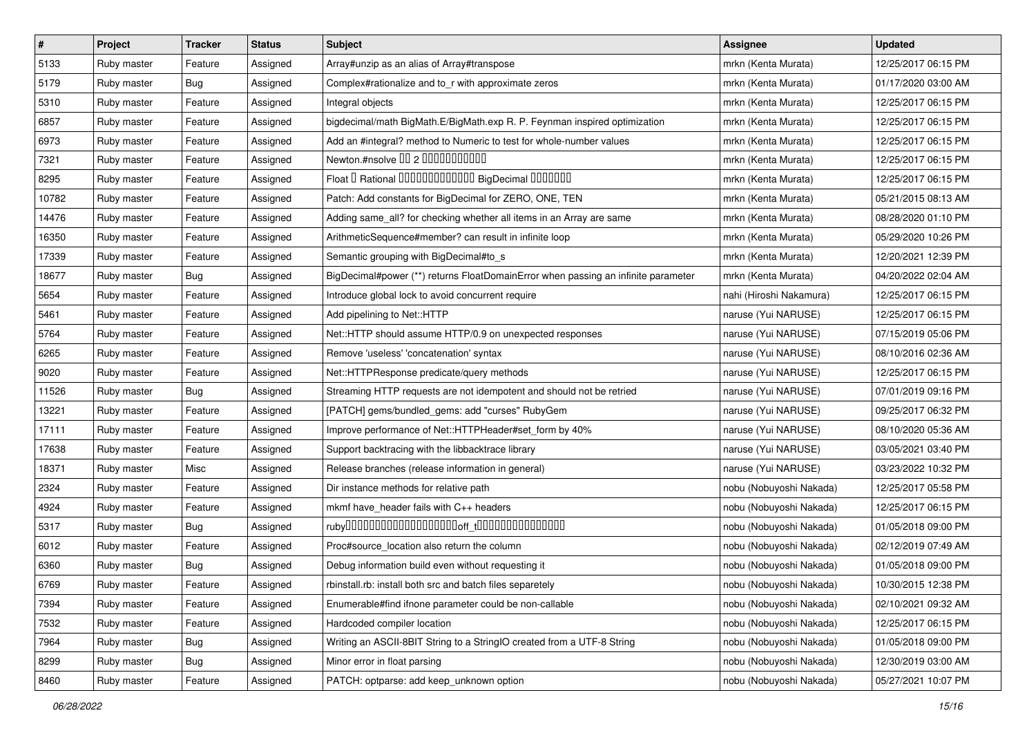| $\vert$ # | Project     | <b>Tracker</b> | <b>Status</b> | Subject                                                                           | Assignee                | <b>Updated</b>      |
|-----------|-------------|----------------|---------------|-----------------------------------------------------------------------------------|-------------------------|---------------------|
| 5133      | Ruby master | Feature        | Assigned      | Array#unzip as an alias of Array#transpose                                        | mrkn (Kenta Murata)     | 12/25/2017 06:15 PM |
| 5179      | Ruby master | Bug            | Assigned      | Complex#rationalize and to_r with approximate zeros                               | mrkn (Kenta Murata)     | 01/17/2020 03:00 AM |
| 5310      | Ruby master | Feature        | Assigned      | Integral objects                                                                  | mrkn (Kenta Murata)     | 12/25/2017 06:15 PM |
| 6857      | Ruby master | Feature        | Assigned      | bigdecimal/math BigMath.E/BigMath.exp R. P. Feynman inspired optimization         | mrkn (Kenta Murata)     | 12/25/2017 06:15 PM |
| 6973      | Ruby master | Feature        | Assigned      | Add an #integral? method to Numeric to test for whole-number values               | mrkn (Kenta Murata)     | 12/25/2017 06:15 PM |
| 7321      | Ruby master | Feature        | Assigned      | Newton.#nsolve 00 2 0000000000                                                    | mrkn (Kenta Murata)     | 12/25/2017 06:15 PM |
| 8295      | Ruby master | Feature        | Assigned      | Float I Rational 0000000000000 BigDecimal 0000000                                 | mrkn (Kenta Murata)     | 12/25/2017 06:15 PM |
| 10782     | Ruby master | Feature        | Assigned      | Patch: Add constants for BigDecimal for ZERO, ONE, TEN                            | mrkn (Kenta Murata)     | 05/21/2015 08:13 AM |
| 14476     | Ruby master | Feature        | Assigned      | Adding same_all? for checking whether all items in an Array are same              | mrkn (Kenta Murata)     | 08/28/2020 01:10 PM |
| 16350     | Ruby master | Feature        | Assigned      | ArithmeticSequence#member? can result in infinite loop                            | mrkn (Kenta Murata)     | 05/29/2020 10:26 PM |
| 17339     | Ruby master | Feature        | Assigned      | Semantic grouping with BigDecimal#to_s                                            | mrkn (Kenta Murata)     | 12/20/2021 12:39 PM |
| 18677     | Ruby master | Bug            | Assigned      | BigDecimal#power (**) returns FloatDomainError when passing an infinite parameter | mrkn (Kenta Murata)     | 04/20/2022 02:04 AM |
| 5654      | Ruby master | Feature        | Assigned      | Introduce global lock to avoid concurrent require                                 | nahi (Hiroshi Nakamura) | 12/25/2017 06:15 PM |
| 5461      | Ruby master | Feature        | Assigned      | Add pipelining to Net::HTTP                                                       | naruse (Yui NARUSE)     | 12/25/2017 06:15 PM |
| 5764      | Ruby master | Feature        | Assigned      | Net::HTTP should assume HTTP/0.9 on unexpected responses                          | naruse (Yui NARUSE)     | 07/15/2019 05:06 PM |
| 6265      | Ruby master | Feature        | Assigned      | Remove 'useless' 'concatenation' syntax                                           | naruse (Yui NARUSE)     | 08/10/2016 02:36 AM |
| 9020      | Ruby master | Feature        | Assigned      | Net::HTTPResponse predicate/query methods                                         | naruse (Yui NARUSE)     | 12/25/2017 06:15 PM |
| 11526     | Ruby master | Bug            | Assigned      | Streaming HTTP requests are not idempotent and should not be retried              | naruse (Yui NARUSE)     | 07/01/2019 09:16 PM |
| 13221     | Ruby master | Feature        | Assigned      | [PATCH] gems/bundled_gems: add "curses" RubyGem                                   | naruse (Yui NARUSE)     | 09/25/2017 06:32 PM |
| 17111     | Ruby master | Feature        | Assigned      | Improve performance of Net::HTTPHeader#set_form by 40%                            | naruse (Yui NARUSE)     | 08/10/2020 05:36 AM |
| 17638     | Ruby master | Feature        | Assigned      | Support backtracing with the libbacktrace library                                 | naruse (Yui NARUSE)     | 03/05/2021 03:40 PM |
| 18371     | Ruby master | Misc           | Assigned      | Release branches (release information in general)                                 | naruse (Yui NARUSE)     | 03/23/2022 10:32 PM |
| 2324      | Ruby master | Feature        | Assigned      | Dir instance methods for relative path                                            | nobu (Nobuyoshi Nakada) | 12/25/2017 05:58 PM |
| 4924      | Ruby master | Feature        | Assigned      | mkmf have_header fails with C++ headers                                           | nobu (Nobuyoshi Nakada) | 12/25/2017 06:15 PM |
| 5317      | Ruby master | Bug            | Assigned      |                                                                                   | nobu (Nobuyoshi Nakada) | 01/05/2018 09:00 PM |
| 6012      | Ruby master | Feature        | Assigned      | Proc#source_location also return the column                                       | nobu (Nobuyoshi Nakada) | 02/12/2019 07:49 AM |
| 6360      | Ruby master | <b>Bug</b>     | Assigned      | Debug information build even without requesting it                                | nobu (Nobuyoshi Nakada) | 01/05/2018 09:00 PM |
| 6769      | Ruby master | Feature        | Assigned      | rbinstall.rb: install both src and batch files separetely                         | nobu (Nobuyoshi Nakada) | 10/30/2015 12:38 PM |
| 7394      | Ruby master | Feature        | Assigned      | Enumerable#find ifnone parameter could be non-callable                            | nobu (Nobuyoshi Nakada) | 02/10/2021 09:32 AM |
| 7532      | Ruby master | Feature        | Assigned      | Hardcoded compiler location                                                       | nobu (Nobuyoshi Nakada) | 12/25/2017 06:15 PM |
| 7964      | Ruby master | <b>Bug</b>     | Assigned      | Writing an ASCII-8BIT String to a StringIO created from a UTF-8 String            | nobu (Nobuyoshi Nakada) | 01/05/2018 09:00 PM |
| 8299      | Ruby master | <b>Bug</b>     | Assigned      | Minor error in float parsing                                                      | nobu (Nobuyoshi Nakada) | 12/30/2019 03:00 AM |
| 8460      | Ruby master | Feature        | Assigned      | PATCH: optparse: add keep_unknown option                                          | nobu (Nobuyoshi Nakada) | 05/27/2021 10:07 PM |